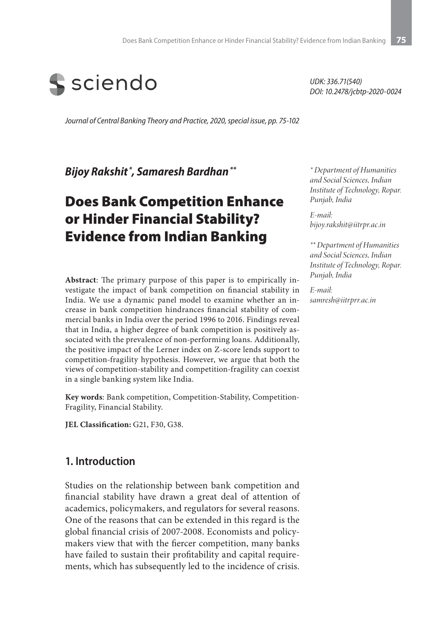

*Journal of Central Banking Theory and Practice, 2020, special issue, pp. 75-102*

*Bijoy Rakshit \*, Samaresh Bardhan \*\**

# Does Bank Competition Enhance or Hinder Financial Stability? Evidence from Indian Banking

**Abstract**: The primary purpose of this paper is to empirically investigate the impact of bank competition on financial stability in India. We use a dynamic panel model to examine whether an increase in bank competition hindrances financial stability of commercial banks in India over the period 1996 to 2016. Findings reveal that in India, a higher degree of bank competition is positively associated with the prevalence of non-performing loans. Additionally, the positive impact of the Lerner index on Z-score lends support to competition-fragility hypothesis. However, we argue that both the views of competition-stability and competition-fragility can coexist in a single banking system like India.

**Key words**: Bank competition, Competition-Stability, Competition-Fragility, Financial Stability.

JEL Classification: G21, F30, G38.

#### **1. Introduction**

Studies on the relationship between bank competition and financial stability have drawn a great deal of attention of academics, policymakers, and regulators for several reasons. One of the reasons that can be extended in this regard is the global financial crisis of 2007-2008. Economists and policymakers view that with the fiercer competition, many banks have failed to sustain their profitability and capital requirements, which has subsequently led to the incidence of crisis.

*UDK: 336.71(540) DOI: 10.2478/jcbtp-2020-0024*

*\* Department of Humanities and Social Sciences, Indian Institute of Technology, Ropar. Punjab, India*

*E-mail: bijoy.rakshit@iitrpr.ac.in*

*\*\* Department of Humanities and Social Sciences, Indian Institute of Technology, Ropar. Punjab, India*

*E-mail: samresh@iitrprr.ac.in*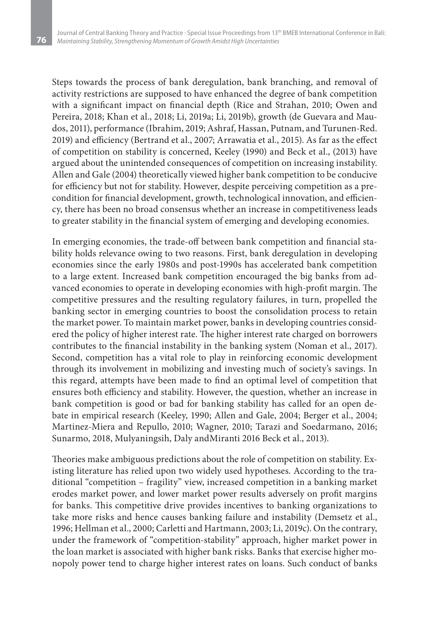Steps towards the process of bank deregulation, bank branching, and removal of activity restrictions are supposed to have enhanced the degree of bank competition with a significant impact on financial depth (Rice and Strahan, 2010; Owen and Pereira, 2018; Khan et al., 2018; Li, 2019a; Li, 2019b), growth (de Guevara and Maudos, 2011), performance (Ibrahim, 2019; Ashraf, Hassan, Putnam, and Turunen-Red. 2019) and efficiency (Bertrand et al., 2007; Arrawatia et al., 2015). As far as the effect of competition on stability is concerned, Keeley (1990) and Beck et al., (2013) have argued about the unintended consequences of competition on increasing instability. Allen and Gale (2004) theoretically viewed higher bank competition to be conducive for efficiency but not for stability. However, despite perceiving competition as a precondition for financial development, growth, technological innovation, and efficiency, there has been no broad consensus whether an increase in competitiveness leads to greater stability in the financial system of emerging and developing economies.

In emerging economies, the trade-off between bank competition and financial stability holds relevance owing to two reasons. First, bank deregulation in developing economies since the early 1980s and post-1990s has accelerated bank competition to a large extent. Increased bank competition encouraged the big banks from advanced economies to operate in developing economies with high-profit margin. The competitive pressures and the resulting regulatory failures, in turn, propelled the banking sector in emerging countries to boost the consolidation process to retain the market power. To maintain market power, banks in developing countries considered the policy of higher interest rate. The higher interest rate charged on borrowers contributes to the financial instability in the banking system (Noman et al., 2017). Second, competition has a vital role to play in reinforcing economic development through its involvement in mobilizing and investing much of society's savings. In this regard, attempts have been made to find an optimal level of competition that ensures both efficiency and stability. However, the question, whether an increase in bank competition is good or bad for banking stability has called for an open debate in empirical research (Keeley, 1990; Allen and Gale, 2004; Berger et al., 2004; Martinez-Miera and Repullo, 2010; Wagner, 2010; Tarazi and Soedarmano, 2016; Sunarmo, 2018, Mulyaningsih, Daly andMiranti 2016 Beck et al., 2013).

Theories make ambiguous predictions about the role of competition on stability. Existing literature has relied upon two widely used hypotheses. According to the traditional "competition – fragility" view, increased competition in a banking market erodes market power, and lower market power results adversely on profit margins for banks. This competitive drive provides incentives to banking organizations to take more risks and hence causes banking failure and instability (Demsetz et al., 1996; Hellman et al., 2000; Carletti and Hartmann, 2003; Li, 2019c). On the contrary, under the framework of "competition-stability" approach, higher market power in the loan market is associated with higher bank risks. Banks that exercise higher monopoly power tend to charge higher interest rates on loans. Such conduct of banks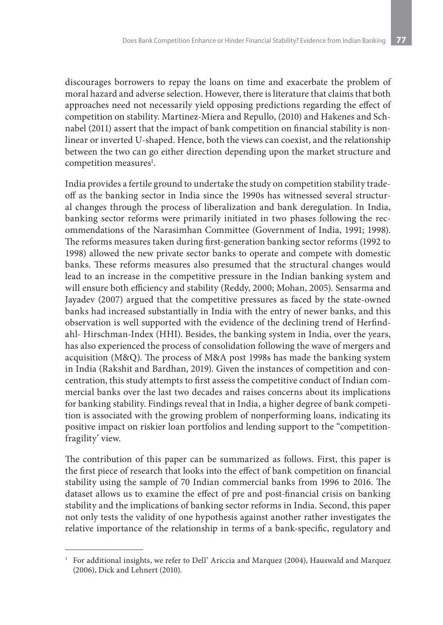discourages borrowers to repay the loans on time and exacerbate the problem of moral hazard and adverse selection. However, there is literature that claims that both approaches need not necessarily yield opposing predictions regarding the effect of competition on stability. Martinez-Miera and Repullo, (2010) and Hakenes and Schnabel (2011) assert that the impact of bank competition on financial stability is nonlinear or inverted U-shaped. Hence, both the views can coexist, and the relationship between the two can go either direction depending upon the market structure and competition measures<sup>1</sup>.

India provides a fertile ground to undertake the study on competition stability tradeoff as the banking sector in India since the 1990s has witnessed several structural changes through the process of liberalization and bank deregulation. In India, banking sector reforms were primarily initiated in two phases following the recommendations of the Narasimhan Committee (Government of India, 1991; 1998). The reforms measures taken during first-generation banking sector reforms (1992 to 1998) allowed the new private sector banks to operate and compete with domestic banks. These reforms measures also presumed that the structural changes would lead to an increase in the competitive pressure in the Indian banking system and will ensure both efficiency and stability (Reddy, 2000; Mohan, 2005). Sensarma and Jayadev (2007) argued that the competitive pressures as faced by the state-owned banks had increased substantially in India with the entry of newer banks, and this observation is well supported with the evidence of the declining trend of Herfindahl- Hirschman-Index (HHI). Besides, the banking system in India, over the years, has also experienced the process of consolidation following the wave of mergers and acquisition (M&Q). The process of M&A post 1998s has made the banking system in India (Rakshit and Bardhan, 2019). Given the instances of competition and concentration, this study attempts to first assess the competitive conduct of Indian commercial banks over the last two decades and raises concerns about its implications for banking stability. Findings reveal that in India, a higher degree of bank competition is associated with the growing problem of nonperforming loans, indicating its positive impact on riskier loan portfolios and lending support to the "competitionfragility' view.

The contribution of this paper can be summarized as follows. First, this paper is the first piece of research that looks into the effect of bank competition on financial stability using the sample of 70 Indian commercial banks from 1996 to 2016. The dataset allows us to examine the effect of pre and post-financial crisis on banking stability and the implications of banking sector reforms in India. Second, this paper not only tests the validity of one hypothesis against another rather investigates the relative importance of the relationship in terms of a bank-specific, regulatory and

<sup>&</sup>lt;sup>1</sup> For additional insights, we refer to Dell' Ariccia and Marquez (2004), Hauswald and Marquez (2006), Dick and Lehnert (2010).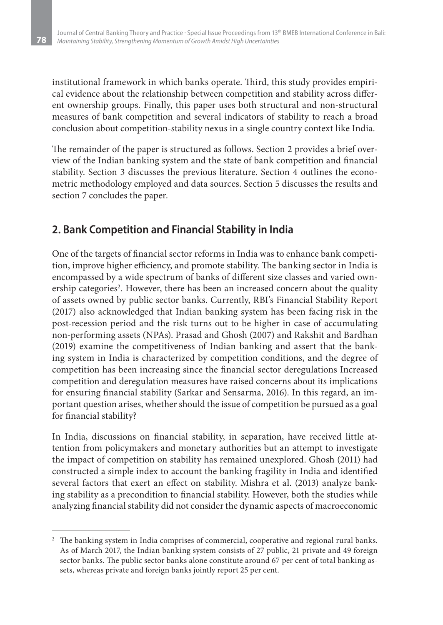institutional framework in which banks operate. Third, this study provides empirical evidence about the relationship between competition and stability across different ownership groups. Finally, this paper uses both structural and non-structural measures of bank competition and several indicators of stability to reach a broad conclusion about competition-stability nexus in a single country context like India.

The remainder of the paper is structured as follows. Section 2 provides a brief overview of the Indian banking system and the state of bank competition and financial stability. Section 3 discusses the previous literature. Section 4 outlines the econometric methodology employed and data sources. Section 5 discusses the results and section 7 concludes the paper.

# **2. Bank Competition and Financial Stability in India**

One of the targets of financial sector reforms in India was to enhance bank competition, improve higher efficiency, and promote stability. The banking sector in India is encompassed by a wide spectrum of banks of different size classes and varied ownership categories<sup>2</sup>. However, there has been an increased concern about the quality of assets owned by public sector banks. Currently, RBI's Financial Stability Report (2017) also acknowledged that Indian banking system has been facing risk in the post-recession period and the risk turns out to be higher in case of accumulating non-performing assets (NPAs). Prasad and Ghosh (2007) and Rakshit and Bardhan (2019) examine the competitiveness of Indian banking and assert that the banking system in India is characterized by competition conditions, and the degree of competition has been increasing since the financial sector deregulations Increased competition and deregulation measures have raised concerns about its implications for ensuring financial stability (Sarkar and Sensarma, 2016). In this regard, an important question arises, whether should the issue of competition be pursued as a goal for financial stability?

In India, discussions on financial stability, in separation, have received little attention from policymakers and monetary authorities but an attempt to investigate the impact of competition on stability has remained unexplored. Ghosh (2011) had constructed a simple index to account the banking fragility in India and identified several factors that exert an effect on stability. Mishra et al. (2013) analyze banking stability as a precondition to financial stability. However, both the studies while analyzing financial stability did not consider the dynamic aspects of macroeconomic

<sup>&</sup>lt;sup>2</sup> The banking system in India comprises of commercial, cooperative and regional rural banks. As of March 2017, the Indian banking system consists of 27 public, 21 private and 49 foreign sector banks. The public sector banks alone constitute around 67 per cent of total banking assets, whereas private and foreign banks jointly report 25 per cent.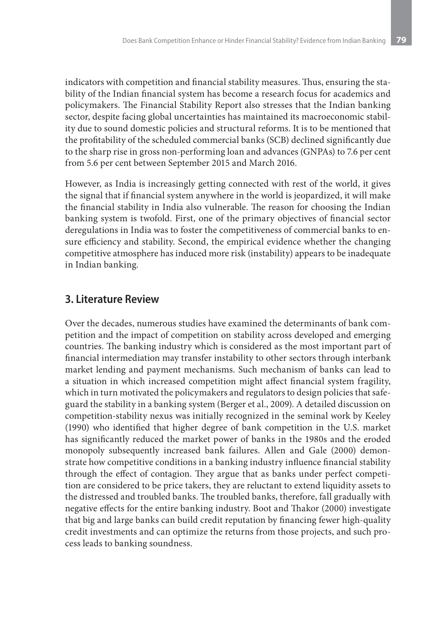indicators with competition and financial stability measures. Thus, ensuring the stability of the Indian financial system has become a research focus for academics and policymakers. The Financial Stability Report also stresses that the Indian banking sector, despite facing global uncertainties has maintained its macroeconomic stability due to sound domestic policies and structural reforms. It is to be mentioned that the profitability of the scheduled commercial banks (SCB) declined significantly due to the sharp rise in gross non-performing loan and advances (GNPAs) to 7.6 per cent from 5.6 per cent between September 2015 and March 2016.

However, as India is increasingly getting connected with rest of the world, it gives the signal that if financial system anywhere in the world is jeopardized, it will make the financial stability in India also vulnerable. The reason for choosing the Indian banking system is twofold. First, one of the primary objectives of financial sector deregulations in India was to foster the competitiveness of commercial banks to ensure efficiency and stability. Second, the empirical evidence whether the changing competitive atmosphere has induced more risk (instability) appears to be inadequate in Indian banking.

### **3. Literature Review**

Over the decades, numerous studies have examined the determinants of bank competition and the impact of competition on stability across developed and emerging countries. The banking industry which is considered as the most important part of financial intermediation may transfer instability to other sectors through interbank market lending and payment mechanisms. Such mechanism of banks can lead to a situation in which increased competition might affect financial system fragility, which in turn motivated the policymakers and regulators to design policies that safeguard the stability in a banking system (Berger et al., 2009). A detailed discussion on competition-stability nexus was initially recognized in the seminal work by Keeley (1990) who identified that higher degree of bank competition in the U.S. market has significantly reduced the market power of banks in the 1980s and the eroded monopoly subsequently increased bank failures. Allen and Gale (2000) demonstrate how competitive conditions in a banking industry influence financial stability through the effect of contagion. They argue that as banks under perfect competition are considered to be price takers, they are reluctant to extend liquidity assets to the distressed and troubled banks. The troubled banks, therefore, fall gradually with negative effects for the entire banking industry. Boot and Thakor (2000) investigate that big and large banks can build credit reputation by financing fewer high-quality credit investments and can optimize the returns from those projects, and such process leads to banking soundness.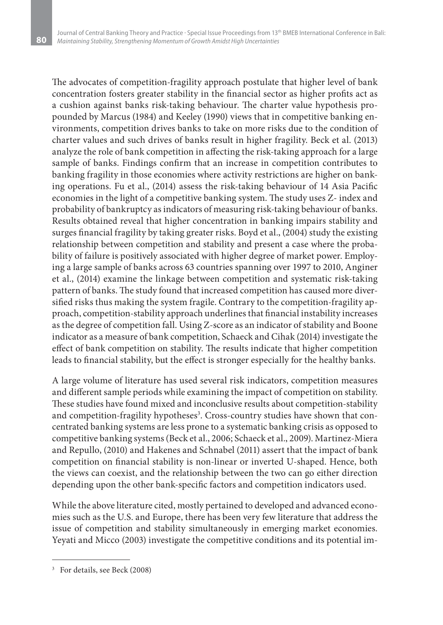The advocates of competition-fragility approach postulate that higher level of bank concentration fosters greater stability in the financial sector as higher profits act as a cushion against banks risk-taking behaviour. The charter value hypothesis propounded by Marcus (1984) and Keeley (1990) views that in competitive banking environments, competition drives banks to take on more risks due to the condition of charter values and such drives of banks result in higher fragility. Beck et al. (2013) analyze the role of bank competition in affecting the risk-taking approach for a large sample of banks. Findings confirm that an increase in competition contributes to banking fragility in those economies where activity restrictions are higher on banking operations. Fu et al., (2014) assess the risk-taking behaviour of 14 Asia Pacific economies in the light of a competitive banking system. The study uses Z- index and probability of bankruptcy as indicators of measuring risk-taking behaviour of banks. Results obtained reveal that higher concentration in banking impairs stability and surges financial fragility by taking greater risks. Boyd et al., (2004) study the existing relationship between competition and stability and present a case where the probability of failure is positively associated with higher degree of market power. Employing a large sample of banks across 63 countries spanning over 1997 to 2010, Anginer et al., (2014) examine the linkage between competition and systematic risk-taking pattern of banks. The study found that increased competition has caused more diversified risks thus making the system fragile. Contrary to the competition-fragility approach, competition-stability approach underlines that financial instability increases as the degree of competition fall. Using Z-score as an indicator of stability and Boone indicator as a measure of bank competition, Schaeck and Cihak (2014) investigate the effect of bank competition on stability. The results indicate that higher competition leads to financial stability, but the effect is stronger especially for the healthy banks.

A large volume of literature has used several risk indicators, competition measures and different sample periods while examining the impact of competition on stability. These studies have found mixed and inconclusive results about competition-stability and competition-fragility hypotheses<sup>3</sup>. Cross-country studies have shown that concentrated banking systems are less prone to a systematic banking crisis as opposed to competitive banking systems (Beck et al., 2006; Schaeck et al., 2009). Martinez-Miera and Repullo, (2010) and Hakenes and Schnabel (2011) assert that the impact of bank competition on financial stability is non-linear or inverted U-shaped. Hence, both the views can coexist, and the relationship between the two can go either direction depending upon the other bank-specific factors and competition indicators used.

While the above literature cited, mostly pertained to developed and advanced economies such as the U.S. and Europe, there has been very few literature that address the issue of competition and stability simultaneously in emerging market economies. Yeyati and Micco (2003) investigate the competitive conditions and its potential im-

<sup>3</sup> For details, see Beck (2008)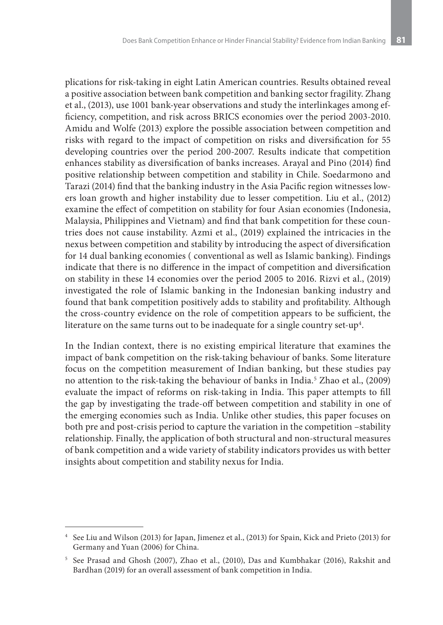plications for risk-taking in eight Latin American countries. Results obtained reveal a positive association between bank competition and banking sector fragility. Zhang et al., (2013), use 1001 bank-year observations and study the interlinkages among efficiency, competition, and risk across BRICS economies over the period 2003-2010. Amidu and Wolfe (2013) explore the possible association between competition and risks with regard to the impact of competition on risks and diversification for 55 developing countries over the period 200-2007. Results indicate that competition enhances stability as diversification of banks increases. Arayal and Pino (2014) find positive relationship between competition and stability in Chile. Soedarmono and Tarazi (2014) find that the banking industry in the Asia Pacific region witnesses lowers loan growth and higher instability due to lesser competition. Liu et al., (2012) examine the effect of competition on stability for four Asian economies (Indonesia, Malaysia, Philippines and Vietnam) and find that bank competition for these countries does not cause instability. Azmi et al., (2019) explained the intricacies in the nexus between competition and stability by introducing the aspect of diversification for 14 dual banking economies ( conventional as well as Islamic banking). Findings indicate that there is no difference in the impact of competition and diversification on stability in these 14 economies over the period 2005 to 2016. Rizvi et al., (2019) investigated the role of Islamic banking in the Indonesian banking industry and found that bank competition positively adds to stability and profitability. Although the cross-country evidence on the role of competition appears to be sufficient, the literature on the same turns out to be inadequate for a single country set-up<sup>4</sup>.

In the Indian context, there is no existing empirical literature that examines the impact of bank competition on the risk-taking behaviour of banks. Some literature focus on the competition measurement of Indian banking, but these studies pay no attention to the risk-taking the behaviour of banks in India.5 Zhao et al., (2009) evaluate the impact of reforms on risk-taking in India. This paper attempts to fill the gap by investigating the trade-off between competition and stability in one of the emerging economies such as India. Unlike other studies, this paper focuses on both pre and post-crisis period to capture the variation in the competition –stability relationship. Finally, the application of both structural and non-structural measures of bank competition and a wide variety of stability indicators provides us with better insights about competition and stability nexus for India.

<sup>4</sup> See Liu and Wilson (2013) for Japan, Jimenez et al., (2013) for Spain, Kick and Prieto (2013) for Germany and Yuan (2006) for China.

<sup>5</sup> See Prasad and Ghosh (2007), Zhao et al., (2010), Das and Kumbhakar (2016), Rakshit and Bardhan (2019) for an overall assessment of bank competition in India.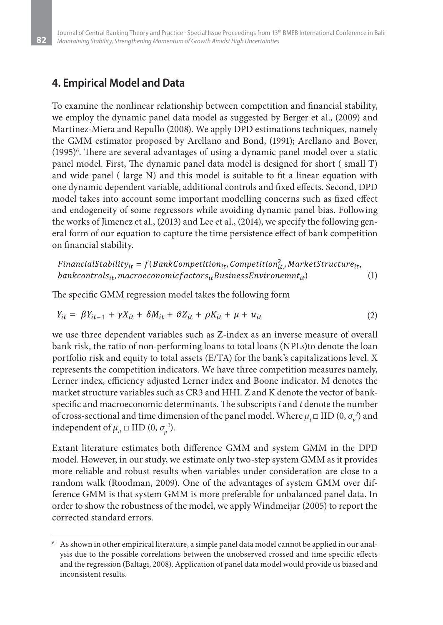### **4. Empirical Model and Data**

To examine the nonlinear relationship between competition and financial stability, we employ the dynamic panel data model as suggested by Berger et al., (2009) and Martinez-Miera and Repullo (2008). We apply DPD estimations techniques, namely the GMM estimator proposed by Arellano and Bond, (1991); Arellano and Bover, (1995)6 . There are several advantages of using a dynamic panel model over a static panel model. First, The dynamic panel data model is designed for short ( small T) and wide panel ( large N) and this model is suitable to fit a linear equation with one dynamic dependent variable, additional controls and fixed effects. Second, DPD model takes into account some important modelling concerns such as fixed effect and endogeneity of some regressors while avoiding dynamic panel bias. Following the works of Jimenez et al., (2013) and Lee et al., (2014), we specify the following general form of our equation to capture the time persistence effect of bank competition on financial stability.

FinancialStability<sub>it</sub> =  $f(BankCompetition_{it}, Competition_{it}^2, MarketStructure_{it}$ ,  $bank controls_{it}$ , macroeconomicf actors<sub>it</sub> Business Environemnt<sub>it</sub>) (1)

The specific GMM regression model takes the following form

$$
Y_{it} = \beta Y_{it-1} + \gamma X_{it} + \delta M_{it} + \vartheta Z_{it} + \rho K_{it} + \mu + u_{it}
$$
\n<sup>(2)</sup>

we use three dependent variables such as Z-index as an inverse measure of overall bank risk, the ratio of non-performing loans to total loans (NPLs)to denote the loan portfolio risk and equity to total assets (E/TA) for the bank's capitalizations level. X represents the competition indicators. We have three competition measures namely, Lerner index, efficiency adjusted Lerner index and Boone indicator. M denotes the market structure variables such as CR3 and HHI. Z and K denote the vector of bankspecific and macroeconomic determinants. The subscripts *i* and *t* denote the number of cross-sectional and time dimension of the panel model. Where  $\mu_i$   $\Box$  IID  $(0, \sigma_{\nu}^2)$  and independent of  $\mu_{it} \square \text{ IID } (0, \sigma_{\mu}^{2}).$ 

Extant literature estimates both difference GMM and system GMM in the DPD model. However, in our study, we estimate only two-step system GMM as it provides more reliable and robust results when variables under consideration are close to a random walk (Roodman, 2009). One of the advantages of system GMM over difference GMM is that system GMM is more preferable for unbalanced panel data. In order to show the robustness of the model, we apply Windmeijar (2005) to report the corrected standard errors.

<sup>6</sup> As shown in other empirical literature, a simple panel data model cannot be applied in our analysis due to the possible correlations between the unobserved crossed and time specific effects and the regression (Baltagi, 2008). Application of panel data model would provide us biased and inconsistent results.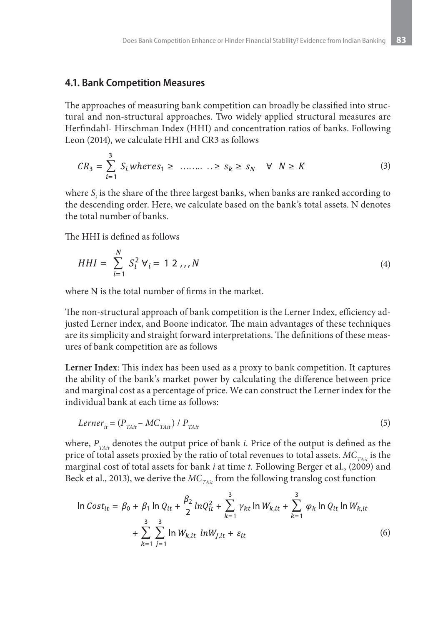#### **4.1. Bank Competition Measures**

The approaches of measuring bank competition can broadly be classified into structural and non-structural approaches. Two widely applied structural measures are Herfindahl- Hirschman Index (HHI) and concentration ratios of banks. Following Leon (2014), we calculate HHI and CR3 as follows

$$
CR_3 = \sum_{i=1}^{3} S_i \text{ whereas } 1 \geq \dots \geq S_k \geq S_N \quad \forall \quad N \geq K
$$
 (3)

where *S*<sub>i</sub> is the share of the three largest banks, when banks are ranked according to the descending order. Here, we calculate based on the bank's total assets. N denotes the total number of banks.

The HHI is defined as follows

$$
HHI = \sum_{i=1}^{N} S_i^2 V_i = 1 \ 2 \dots N \tag{4}
$$

where N is the total number of firms in the market.

The non-structural approach of bank competition is the Lerner Index, efficiency adjusted Lerner index, and Boone indicator. The main advantages of these techniques are its simplicity and straight forward interpretations. The definitions of these measures of bank competition are as follows

**Lerner Index**: This index has been used as a proxy to bank competition. It captures the ability of the bank's market power by calculating the difference between price and marginal cost as a percentage of price. We can construct the Lerner index for the individual bank at each time as follows:

$$
Lerner_{it} = (P_{TAt} - MC_{TAt}) / P_{TAt}
$$
\n<sup>(5)</sup>

where,  $P_{\text{TAti}}$  denotes the output price of bank *i*. Price of the output is defined as the price of total assets proxied by the ratio of total revenues to total assets.  $MC_{T_A}$  is the marginal cost of total assets for bank *i* at time *t.* Following Berger et al., (2009) and Beck et al., 2013), we derive the *MC<sub>TAit</sub>* from the following translog cost function

$$
\ln Cost_{it} = \beta_0 + \beta_1 \ln Q_{it} + \frac{\beta_2}{2} lnQ_{it}^2 + \sum_{k=1}^3 \gamma_{kt} \ln W_{k,it} + \sum_{k=1}^3 \varphi_k \ln Q_{it} \ln W_{k,it}
$$
  
+ 
$$
\sum_{k=1}^3 \sum_{j=1}^3 \ln W_{k,it} lnW_{j,it} + \varepsilon_{it}
$$
 (6)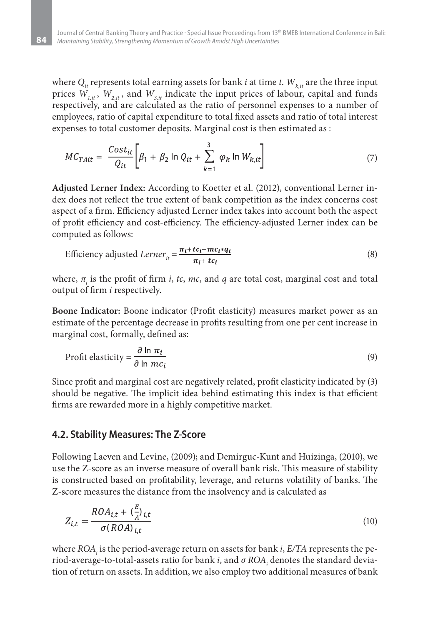where  $Q_i$  represents total earning assets for bank *i* at time *t*.  $W_{k, it}$  are the three input prices  $W_{1,i}$ ,  $W_{2,i}$ , and  $W_{3,i}$  indicate the input prices of labour, capital and funds respectively, and are calculated as the ratio of personnel expenses to a number of employees, ratio of capital expenditure to total fixed assets and ratio of total interest expenses to total customer deposits. Marginal cost is then estimated as :

$$
MC_{T A it} = \frac{Cost_{it}}{Q_{it}} \bigg[ \beta_1 + \beta_2 \ln Q_{it} + \sum_{k=1}^3 \varphi_k \ln W_{k, it} \bigg] \tag{7}
$$

**Adjusted Lerner Index:** According to Koetter et al. (2012), conventional Lerner index does not reflect the true extent of bank competition as the index concerns cost aspect of a firm. Efficiency adjusted Lerner index takes into account both the aspect of profit efficiency and cost-efficiency. The efficiency-adjusted Lerner index can be computed as follows:

Efficiency adjusted 
$$
Lerner_{it} = \frac{\pi_i + tc_i - mc_i * q_i}{\pi_i + tc_i}
$$
 (8)

where,  $\pi$ <sub>i</sub> is the profit of firm *i*, *tc*, *mc*, and *q* are total cost, marginal cost and total output of firm *i* respectively.

**Boone Indicator:** Boone indicator (Profit elasticity) measures market power as an estimate of the percentage decrease in profits resulting from one per cent increase in marginal cost, formally, defined as:

$$
Profit elasticity = \frac{\partial \ln \pi_i}{\partial \ln mc_i}
$$
 (9)

Since profit and marginal cost are negatively related, profit elasticity indicated by (3) should be negative. The implicit idea behind estimating this index is that efficient firms are rewarded more in a highly competitive market.

#### **4.2. Stability Measures: The Z-Score**

Following Laeven and Levine, (2009); and Demirguc-Kunt and Huizinga, (2010), we use the Z-score as an inverse measure of overall bank risk. This measure of stability is constructed based on profitability, leverage, and returns volatility of banks. The Z-score measures the distance from the insolvency and is calculated as

$$
Z_{i,t} = \frac{ROA_{i,t} + \left(\frac{E}{A}\right)_{i,t}}{\sigma (ROA)_{i,t}}\tag{10}
$$

where *ROA<sub>i</sub>* is the period-average return on assets for bank *i*, *E/TA* represents the period-average-to-total-assets ratio for bank *i*, and  $\sigma$   $ROA_{_i}$  denotes the standard deviation of return on assets. In addition, we also employ two additional measures of bank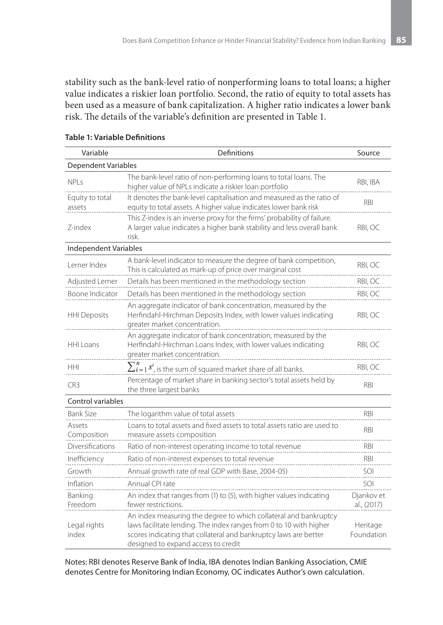stability such as the bank-level ratio of nonperforming loans to total loans; a higher value indicates a riskier loan portfolio. Second, the ratio of equity to total assets has been used as a measure of bank capitalization. A higher ratio indicates a lower bank risk. The details of the variable's definition are presented in Table 1.

| Variable                  | Definitions                                                                                                                                                                                                                                       | Source                    |
|---------------------------|---------------------------------------------------------------------------------------------------------------------------------------------------------------------------------------------------------------------------------------------------|---------------------------|
| Dependent Variables       |                                                                                                                                                                                                                                                   |                           |
| <b>NPLs</b>               | The bank-level ratio of non-performing loans to total loans. The<br>higher value of NPLs indicate a riskier loan portfolio                                                                                                                        | RBI, IBA                  |
| Equity to total<br>assets | It denotes the bank-level capitalisation and measured as the ratio of<br>equity to total assets. A higher value indicates lower bank risk                                                                                                         | RBI                       |
| Z-index                   | This Z-index is an inverse proxy for the firms' probability of failure.<br>A larger value indicates a higher bank stability and less overall bank<br>risk.                                                                                        | RBI, OC                   |
| Independent Variables     |                                                                                                                                                                                                                                                   |                           |
| Lerner Index              | A bank-level indicator to measure the degree of bank competition,<br>This is calculated as mark-up of price over marginal cost                                                                                                                    | RBI, OC                   |
| Adjusted Lerner           | Details has been mentioned in the methodology section                                                                                                                                                                                             | RBI, OC                   |
| Boone Indicator           | Details has been mentioned in the methodology section                                                                                                                                                                                             | RBI, OC                   |
| <b>HHI Deposits</b>       | An aggregate indicator of bank concentration, measured by the<br>Herfindahl-Hirchman Deposits Index, with lower values indicating<br>greater market concentration.                                                                                | RBI, OC                   |
| HHI Loans                 | An aggregate indicator of bank concentration, measured by the<br>Herfindahl-Hirchman Loans Index, with lower values indicating<br>greater market concentration.                                                                                   | RBI, OC                   |
| <b>HHI</b>                | $\sum_{i=1}^{n} s^i$ , is the sum of squared market share of all banks.                                                                                                                                                                           | RBI, OC                   |
| CR <sub>3</sub>           | Percentage of market share in banking sector's total assets held by<br>the three largest banks                                                                                                                                                    | <b>RBI</b>                |
| Control variables         |                                                                                                                                                                                                                                                   |                           |
| <b>Bank Size</b>          | The logarithm value of total assets                                                                                                                                                                                                               | <b>RBI</b>                |
| Assets<br>Composition     | Loans to total assets and fixed assets to total assets ratio are used to<br>measure assets composition                                                                                                                                            | <b>RBI</b>                |
| Diversifications          | Ratio of non-interest operating income to total revenue                                                                                                                                                                                           | <b>RBI</b>                |
| Inefficiency              | Ratio of non-interest expenses to total revenue                                                                                                                                                                                                   | RBI                       |
| Growth                    | Annual growth rate of real GDP with Base, 2004-05)                                                                                                                                                                                                | SOI                       |
| Inflation                 | Annual CPI rate                                                                                                                                                                                                                                   | SOI                       |
| Banking<br>Freedom        | An index that ranges from (1) to (5), with higher values indicating<br>fewer restrictions.                                                                                                                                                        | Djankov et<br>al., (2017) |
| Legal rights<br>index     | An index measuring the degree to which collateral and bankruptcy<br>laws facilitate lending. The index ranges from 0 to 10 with higher<br>scores indicating that collateral and bankruptcy laws are better<br>designed to expand access to credit | Heritage<br>Foundation    |

#### **Table 1: Variable Definitions**

Notes: RBI denotes Reserve Bank of India, IBA denotes Indian Banking Association, CMIE denotes Centre for Monitoring Indian Economy, OC indicates Author's own calculation.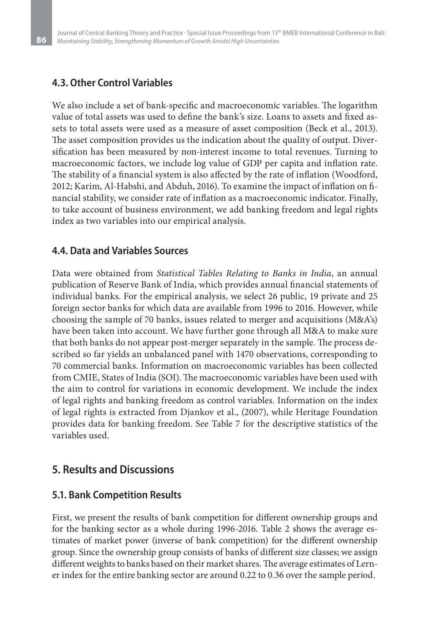### **4.3. Other Control Variables**

We also include a set of bank-specific and macroeconomic variables. The logarithm value of total assets was used to define the bank's size. Loans to assets and fixed assets to total assets were used as a measure of asset composition (Beck et al., 2013). The asset composition provides us the indication about the quality of output. Diversification has been measured by non-interest income to total revenues. Turning to macroeconomic factors, we include log value of GDP per capita and inflation rate. The stability of a financial system is also affected by the rate of inflation (Woodford, 2012; Karim, Al-Habshi, and Abduh, 2016). To examine the impact of inflation on financial stability, we consider rate of inflation as a macroeconomic indicator. Finally, to take account of business environment, we add banking freedom and legal rights index as two variables into our empirical analysis.

### **4.4. Data and Variables Sources**

Data were obtained from *Statistical Tables Relating to Banks in India*, an annual publication of Reserve Bank of India, which provides annual financial statements of individual banks. For the empirical analysis, we select 26 public, 19 private and 25 foreign sector banks for which data are available from 1996 to 2016. However, while choosing the sample of 70 banks, issues related to merger and acquisitions (M&A's) have been taken into account. We have further gone through all M&A to make sure that both banks do not appear post-merger separately in the sample. The process described so far yields an unbalanced panel with 1470 observations, corresponding to 70 commercial banks. Information on macroeconomic variables has been collected from CMIE, States of India (SOI). The macroeconomic variables have been used with the aim to control for variations in economic development. We include the index of legal rights and banking freedom as control variables. Information on the index of legal rights is extracted from Djankov et al., (2007), while Heritage Foundation provides data for banking freedom. See Table 7 for the descriptive statistics of the variables used.

### **5. Results and Discussions**

#### **5.1. Bank Competition Results**

First, we present the results of bank competition for different ownership groups and for the banking sector as a whole during 1996-2016. Table 2 shows the average estimates of market power (inverse of bank competition) for the different ownership group. Since the ownership group consists of banks of different size classes; we assign different weights to banks based on their market shares. The average estimates of Lerner index for the entire banking sector are around 0.22 to 0.36 over the sample period.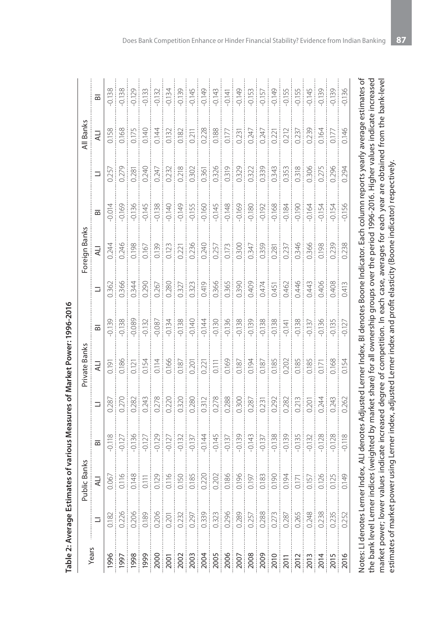|       |                                                                                                                                                                                                                                                                                                                                                                                                                                                                            | Public Banks |                         |                                                                                                                         | Private Banks |       |                                                                                                              | Foreign Banks                                                                                                                                                                                                                                                                                       |                |                                                                                                   | All Banks  |                                                                                                                             |
|-------|----------------------------------------------------------------------------------------------------------------------------------------------------------------------------------------------------------------------------------------------------------------------------------------------------------------------------------------------------------------------------------------------------------------------------------------------------------------------------|--------------|-------------------------|-------------------------------------------------------------------------------------------------------------------------|---------------|-------|--------------------------------------------------------------------------------------------------------------|-----------------------------------------------------------------------------------------------------------------------------------------------------------------------------------------------------------------------------------------------------------------------------------------------------|----------------|---------------------------------------------------------------------------------------------------|------------|-----------------------------------------------------------------------------------------------------------------------------|
| Years | Ξ                                                                                                                                                                                                                                                                                                                                                                                                                                                                          | H            | $\overline{\mathbf{z}}$ | Ξ                                                                                                                       |               |       | Ξ                                                                                                            | <b>HT</b>                                                                                                                                                                                                                                                                                           | $\overline{a}$ | Ξ                                                                                                 | H          | ᇰ                                                                                                                           |
| 1996  |                                                                                                                                                                                                                                                                                                                                                                                                                                                                            |              |                         |                                                                                                                         |               |       |                                                                                                              | 0.244                                                                                                                                                                                                                                                                                               |                | 0.257                                                                                             |            | 0.138                                                                                                                       |
|       |                                                                                                                                                                                                                                                                                                                                                                                                                                                                            |              |                         |                                                                                                                         |               |       |                                                                                                              |                                                                                                                                                                                                                                                                                                     |                |                                                                                                   |            |                                                                                                                             |
|       |                                                                                                                                                                                                                                                                                                                                                                                                                                                                            |              |                         |                                                                                                                         |               |       |                                                                                                              |                                                                                                                                                                                                                                                                                                     |                |                                                                                                   |            | $-0.138$<br>$-0.129$                                                                                                        |
|       |                                                                                                                                                                                                                                                                                                                                                                                                                                                                            |              |                         | $\begin{array}{c} 0.287 \\ 0.270 \\ 0.282 \\ 0.243 \end{array}$                                                         |               |       | $\begin{array}{r} 0.362 \\ 0.366 \\ 0.344 \\ 0.290 \\ 0.290 \\ 0.267 \\ 0.327 \\ 0.323 \\ 0.323 \end{array}$ | $\begin{array}{r} 0.246 \\ 0.198 \\ 0.198 \\ 0.13 \\ 0.121 \\ 0.21 \\ 0.24 \\ 0.240 \\ 0.240 \\ 0.240 \\ 0.240 \\ 0.240 \\ 0.240 \\ 0.240 \\ 0.240 \\ 0.240 \\ 0.240 \\ 0.240 \\ 0.240 \\ 0.240 \\ 0.240 \\ 0.240 \\ 0.240 \\ 0.240 \\ 0.240 \\ 0.240 \\ 0.240 \\ 0.240 \\ 0.240 \\ 0.240 \\ 0.240$ |                | $\begin{array}{c} 0.279 \\ 0.281 \\ 0.240 \\ 0.247 \end{array}$                                   |            | $-0.133$                                                                                                                    |
|       |                                                                                                                                                                                                                                                                                                                                                                                                                                                                            |              |                         | 0.278                                                                                                                   |               |       |                                                                                                              |                                                                                                                                                                                                                                                                                                     |                |                                                                                                   |            | $-0.132$                                                                                                                    |
|       |                                                                                                                                                                                                                                                                                                                                                                                                                                                                            |              |                         |                                                                                                                         |               |       |                                                                                                              |                                                                                                                                                                                                                                                                                                     |                | 0.232                                                                                             |            | $-0.134$                                                                                                                    |
|       |                                                                                                                                                                                                                                                                                                                                                                                                                                                                            |              |                         |                                                                                                                         |               |       |                                                                                                              |                                                                                                                                                                                                                                                                                                     |                | 0.218                                                                                             |            | $-0.139$                                                                                                                    |
|       |                                                                                                                                                                                                                                                                                                                                                                                                                                                                            |              |                         |                                                                                                                         |               |       |                                                                                                              |                                                                                                                                                                                                                                                                                                     |                |                                                                                                   |            |                                                                                                                             |
|       |                                                                                                                                                                                                                                                                                                                                                                                                                                                                            |              |                         |                                                                                                                         |               |       | 0.419                                                                                                        |                                                                                                                                                                                                                                                                                                     |                |                                                                                                   |            | $-0.145$<br>$-0.149$                                                                                                        |
|       |                                                                                                                                                                                                                                                                                                                                                                                                                                                                            |              |                         | 0.278                                                                                                                   |               |       | 0.366<br>0.365<br>0.390                                                                                      |                                                                                                                                                                                                                                                                                                     |                |                                                                                                   | 0.228      | $-0.143$                                                                                                                    |
|       |                                                                                                                                                                                                                                                                                                                                                                                                                                                                            |              |                         |                                                                                                                         |               |       |                                                                                                              |                                                                                                                                                                                                                                                                                                     |                |                                                                                                   |            |                                                                                                                             |
|       |                                                                                                                                                                                                                                                                                                                                                                                                                                                                            |              |                         |                                                                                                                         |               |       |                                                                                                              |                                                                                                                                                                                                                                                                                                     |                | $\begin{array}{r} \hline 0.302 \\ 0.356 \\ 0.326 \\ 0.319 \\ 0.319 \\ 0.322 \\ 0.322 \end{array}$ | 0.231<br>ł | $\begin{tabular}{ c c } \hline 141 & 410 & 500 \\ \hline 010 & 500 & 500 \\ \hline 010 & 500 & 500 \\ \hline \end{tabular}$ |
|       |                                                                                                                                                                                                                                                                                                                                                                                                                                                                            |              |                         |                                                                                                                         |               |       | 0.409<br>0.474                                                                                               |                                                                                                                                                                                                                                                                                                     |                |                                                                                                   | 0.247      |                                                                                                                             |
|       | $\frac{1}{2} \left[ \frac{1}{2} \right] \left[ \frac{1}{2} \right] \left[ \frac{1}{2} \right] \left[ \frac{1}{2} \right] \left[ \frac{1}{2} \right] \left[ \frac{1}{2} \right] \left[ \frac{1}{2} \right] \left[ \frac{1}{2} \right] \left[ \frac{1}{2} \right] \left[ \frac{1}{2} \right] \left[ \frac{1}{2} \right] \left[ \frac{1}{2} \right] \left[ \frac{1}{2} \right] \left[ \frac{1}{2} \right] \left[ \frac{1}{2} \right] \left[ \frac{1}{2} \right] \left[ \frac$ |              |                         | $\begin{array}{r} 0.288 \\ 0.300 \\ 0.387 \\ 0.287 \\ 0.231 \\ 0.292 \\ \end{array}$                                    |               |       |                                                                                                              | $\begin{array}{ c c c c } \hline 0.257 & & & \\ \hline 0.173 & & & \\ \hline 0.300 & & & \\ \hline 0.347 & & & \\ \hline 0.359 & & & \\ \hline 0.281 & & & \\ \hline \end{array}$                                                                                                                   | 0              | 0.339<br>0.343                                                                                    | 0.247      | $-0.157$<br>Ì                                                                                                               |
|       |                                                                                                                                                                                                                                                                                                                                                                                                                                                                            |              |                         |                                                                                                                         |               |       | 0.451<br>0.462<br>0.446                                                                                      |                                                                                                                                                                                                                                                                                                     |                |                                                                                                   | 0.221      | $-0.149$                                                                                                                    |
|       |                                                                                                                                                                                                                                                                                                                                                                                                                                                                            |              |                         | $\frac{282}{0.213}$                                                                                                     |               |       |                                                                                                              | 0.237                                                                                                                                                                                                                                                                                               |                |                                                                                                   | 0.212      | $-0.155$                                                                                                                    |
|       |                                                                                                                                                                                                                                                                                                                                                                                                                                                                            |              |                         |                                                                                                                         |               |       |                                                                                                              | 0.346                                                                                                                                                                                                                                                                                               |                |                                                                                                   | 0.237      |                                                                                                                             |
|       |                                                                                                                                                                                                                                                                                                                                                                                                                                                                            |              |                         | 0.201                                                                                                                   |               |       | 0.443                                                                                                        |                                                                                                                                                                                                                                                                                                     |                | 0.353<br>0.318<br>0.306<br>0.275                                                                  | 0.239      | $-0.145$                                                                                                                    |
|       |                                                                                                                                                                                                                                                                                                                                                                                                                                                                            |              |                         | 0.244                                                                                                                   |               |       | 0.406                                                                                                        | 0.366<br>0.198<br>0.239                                                                                                                                                                                                                                                                             |                |                                                                                                   | 0.164      | $-0.139$                                                                                                                    |
|       |                                                                                                                                                                                                                                                                                                                                                                                                                                                                            |              |                         | 0.243                                                                                                                   |               |       | 0.408                                                                                                        |                                                                                                                                                                                                                                                                                                     |                | 0.296                                                                                             |            | $-0.139$                                                                                                                    |
|       |                                                                                                                                                                                                                                                                                                                                                                                                                                                                            | 0.149        | $-0.118$                | 0.262                                                                                                                   | 0.154         | 0.127 | 0.413                                                                                                        | 0.238                                                                                                                                                                                                                                                                                               | 0.156          | 0.294                                                                                             | 0.146      | $-0.136$                                                                                                                    |
|       | Notes: LI denotes Lerner                                                                                                                                                                                                                                                                                                                                                                                                                                                   |              |                         | · Index, ALI denotes Adjusted Lerner Index, BI denotes Boone Indicator. Each column reports yearly average estimates of |               |       |                                                                                                              |                                                                                                                                                                                                                                                                                                     |                |                                                                                                   |            |                                                                                                                             |

| いっこん こくこ<br><b>107-0pm</b>        |
|-----------------------------------|
|                                   |
|                                   |
|                                   |
|                                   |
|                                   |
|                                   |
|                                   |
|                                   |
|                                   |
|                                   |
|                                   |
|                                   |
|                                   |
|                                   |
|                                   |
|                                   |
| she Marino in Marino Shipper to a |
| )<br>)<br>-                       |
|                                   |
|                                   |
|                                   |
|                                   |
|                                   |
|                                   |
| - CRASS IRAN                      |
|                                   |
|                                   |
|                                   |
|                                   |
|                                   |
|                                   |
|                                   |
|                                   |
|                                   |
|                                   |
|                                   |
|                                   |
|                                   |
|                                   |
| ١                                 |
|                                   |
|                                   |
|                                   |
|                                   |
|                                   |
|                                   |
| l able 2. A<br>is district        |
|                                   |
| ŕ                                 |
|                                   |

 $\circ$ 

the bank level Lerner indices (weighted by market share) for all ownership groups over the period 1996-2016. Higher values indicate increased market power; lower values indicate increased degree of competition. In each case, averages for each year are obtained from the bank-level

the bank level Lerner indices (weighted by market share) for all ownership groups over the period 1996-2016. Higher values indicate increased market power; lower values indicate increased degree of competition. In each case, averages for each year are obtained from the bank-level

estimates of market power using Lerner index, adjusted Lerner index and profit elasticity (Boone indicator) respectively.

estimates of market power using Lerner index, adjusted Lerner index and profit elasticity (Boone indicator) respectively.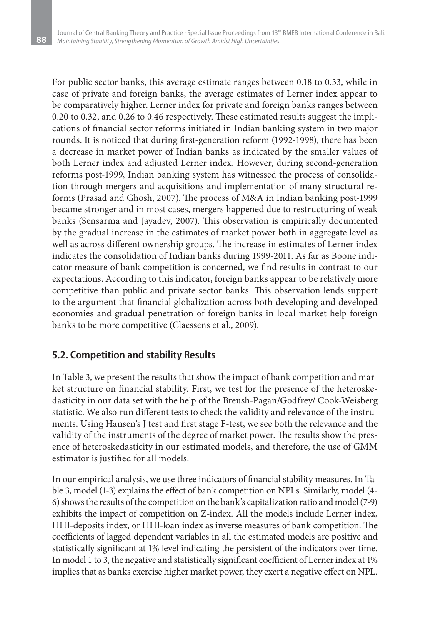For public sector banks, this average estimate ranges between 0.18 to 0.33, while in case of private and foreign banks, the average estimates of Lerner index appear to be comparatively higher. Lerner index for private and foreign banks ranges between 0.20 to 0.32, and 0.26 to 0.46 respectively. These estimated results suggest the implications of financial sector reforms initiated in Indian banking system in two major rounds. It is noticed that during first-generation reform (1992-1998), there has been a decrease in market power of Indian banks as indicated by the smaller values of both Lerner index and adjusted Lerner index. However, during second-generation reforms post-1999, Indian banking system has witnessed the process of consolidation through mergers and acquisitions and implementation of many structural reforms (Prasad and Ghosh, 2007). The process of M&A in Indian banking post-1999 became stronger and in most cases, mergers happened due to restructuring of weak banks (Sensarma and Jayadev, 2007). This observation is empirically documented by the gradual increase in the estimates of market power both in aggregate level as well as across different ownership groups. The increase in estimates of Lerner index indicates the consolidation of Indian banks during 1999-2011. As far as Boone indicator measure of bank competition is concerned, we find results in contrast to our expectations. According to this indicator, foreign banks appear to be relatively more competitive than public and private sector banks. This observation lends support to the argument that financial globalization across both developing and developed economies and gradual penetration of foreign banks in local market help foreign banks to be more competitive (Claessens et al., 2009).

### **5.2. Competition and stability Results**

In Table 3, we present the results that show the impact of bank competition and market structure on financial stability. First, we test for the presence of the heteroskedasticity in our data set with the help of the Breush-Pagan/Godfrey/ Cook-Weisberg statistic. We also run different tests to check the validity and relevance of the instruments. Using Hansen's J test and first stage F-test, we see both the relevance and the validity of the instruments of the degree of market power. The results show the presence of heteroskedasticity in our estimated models, and therefore, the use of GMM estimator is justified for all models.

In our empirical analysis, we use three indicators of financial stability measures. In Table 3, model (1-3) explains the effect of bank competition on NPLs. Similarly, model (4- 6) shows the results of the competition on the bank's capitalization ratio and model (7-9) exhibits the impact of competition on Z-index. All the models include Lerner index, HHI-deposits index, or HHI-loan index as inverse measures of bank competition. The coefficients of lagged dependent variables in all the estimated models are positive and statistically significant at 1% level indicating the persistent of the indicators over time. In model 1 to 3, the negative and statistically significant coefficient of Lerner index at 1% implies that as banks exercise higher market power, they exert a negative effect on NPL.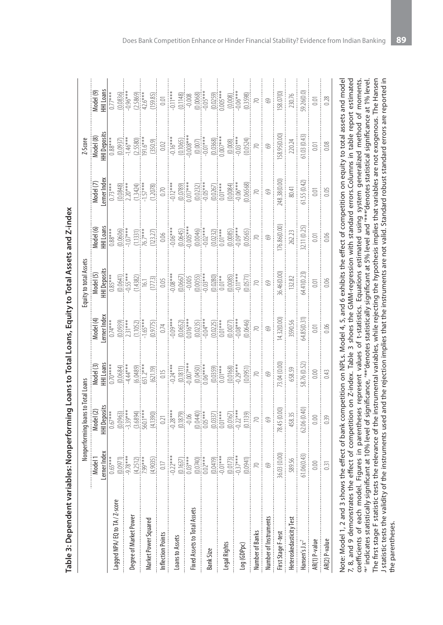|                                                                                                                                                                                                                                                                                                                                                                                                                                                                                |                          | Nonperforming loans to Total Loans |                             |                                                                            | Equity to total Assets   |                                                                    |                            | Z-Score                   |                                                                         |
|--------------------------------------------------------------------------------------------------------------------------------------------------------------------------------------------------------------------------------------------------------------------------------------------------------------------------------------------------------------------------------------------------------------------------------------------------------------------------------|--------------------------|------------------------------------|-----------------------------|----------------------------------------------------------------------------|--------------------------|--------------------------------------------------------------------|----------------------------|---------------------------|-------------------------------------------------------------------------|
|                                                                                                                                                                                                                                                                                                                                                                                                                                                                                | Model <sup>1</sup>       | Model <sub>(2)</sub>               | Aodel (3)                   | Model (4)                                                                  | Model <sub>(5)</sub>     | Aodel (6)                                                          | Model <sub>(7)</sub>       | Model (8)                 | Model (9)                                                               |
|                                                                                                                                                                                                                                                                                                                                                                                                                                                                                | erner Index              | HI Deposits                        | <b>HHILoans</b>             | erner Index                                                                | <b>HHI Deposits</b>      | HILoans                                                            | erner Index                | <b>HI</b> Deposits        | HHI Loans                                                               |
|                                                                                                                                                                                                                                                                                                                                                                                                                                                                                | $0.65***$                | $0.67***$                          | $0.70****$                  | $0.74***$                                                                  | $0.85***$                | $0.88***$                                                          | $0.73***$                  | $0.88***$                 | $0.77***$                                                               |
| Lagged NPA/EQ to TA / Z-score                                                                                                                                                                                                                                                                                                                                                                                                                                                  | $(0.0971)$<br>$-9.78***$ |                                    | (0.0684)                    | $(0.0939)$<br>2.31***                                                      | $(0.0641)$<br>$-0.55***$ | (0.0606)                                                           | $\frac{(0.0848)}{2.20***}$ |                           | $(0.0836)$<br>$-0.96***$                                                |
|                                                                                                                                                                                                                                                                                                                                                                                                                                                                                |                          | $\underbrace{0.0963}_{339***}$     | $-4.44***$                  |                                                                            |                          |                                                                    |                            | $(0.0937)$<br>-1.46***    |                                                                         |
| Degree of Market Power                                                                                                                                                                                                                                                                                                                                                                                                                                                         | $(4.2512)$<br>7.99****   | (3.6894)                           |                             | $(1.1052)$<br>-1.65***                                                     | (1.4382)                 |                                                                    | (1.3424)                   | (2.5580)                  |                                                                         |
|                                                                                                                                                                                                                                                                                                                                                                                                                                                                                |                          | 560.1***                           | $(6.0489)$<br>651.2***      |                                                                            | $\overline{16}.1$        | $(1.1331)$<br>76.7***                                              |                            | $191.6***$                | $(2.5869)$<br>$42.6***$                                                 |
| Market Power Squared                                                                                                                                                                                                                                                                                                                                                                                                                                                           | (4.9035)                 | (4.1390)                           | (621.19)                    |                                                                            | (177.3)                  |                                                                    | (1.2078)                   | (350.9)                   |                                                                         |
| Inflection Points                                                                                                                                                                                                                                                                                                                                                                                                                                                              | $0.17\,$                 | $0.21\,$                           | $\frac{0.15}{-0.24***}$     | $\begin{array}{r} (0.9775) \\ 0.74 \\ \hline 0.74 \\ -0.09*** \end{array}$ | $\frac{0.05}{-0.08***}$  | $\begin{array}{r} (123.27) \\ 0.06 \\ \hline -0.06*** \end{array}$ | $0.70\,$                   | $0.02\,$                  | $\underbrace{159.85}_{0.01}$<br>$\underbrace{0.01}_{0.11***}$           |
|                                                                                                                                                                                                                                                                                                                                                                                                                                                                                | $-0.22***$               | $-0.28***$                         |                             |                                                                            |                          |                                                                    | $-0.12***$                 | $-0.16***$                |                                                                         |
| Loans to Assets                                                                                                                                                                                                                                                                                                                                                                                                                                                                | $(0.1637)$<br>$0.03***$  |                                    |                             |                                                                            |                          |                                                                    |                            |                           |                                                                         |
|                                                                                                                                                                                                                                                                                                                                                                                                                                                                                |                          | $(0.1879)$<br>$-0.06$              | $\frac{(0.1811)}{0.007***}$ | $(0.0652)$<br>$0.016***$                                                   | $(0.0667)$<br>$-0.005$   | $(0.0645)$<br>-0.005***                                            | $(0.0789)$<br>$0.017***$   | $(0.1065)$<br>$-0.008***$ | $\begin{array}{r} 0.1148 \\ -0.008 \\ 0.0068 \\ 0.05^{***} \end{array}$ |
| Fixed Assets to Total Assets                                                                                                                                                                                                                                                                                                                                                                                                                                                   | $(0.0740)$<br>$0.02***$  | $(0.0440)$<br>$0.05***$            |                             |                                                                            |                          |                                                                    |                            |                           |                                                                         |
|                                                                                                                                                                                                                                                                                                                                                                                                                                                                                |                          |                                    | $(0.0450)$<br>$0.06***$     | $(0.0235)$<br>$-0.04***$                                                   | $(0.0055)$<br>$-0.03***$ | $(0.0046)$<br>$-0.02***$                                           | $(0.0232)$<br>$-0.05***$   | $(0.007)$<br>$-0.01***$   |                                                                         |
| <b>Bank Size</b>                                                                                                                                                                                                                                                                                                                                                                                                                                                               | $(0.0419)$<br>$-0.01***$ | $(0.0337)$<br>$0.01***$            | $(0.0359)$<br>$0.01***$     | $(0.0225)$<br>$0.01***$                                                    | $(0.0280)$<br>$0.01**$   | $(0.0232)$<br>$0.01***$                                            | $(0.0267)$<br>$0.01***$    | $(0.0368)$<br>$0.007***$  | $(0.0259)$<br>$0.005***$                                                |
|                                                                                                                                                                                                                                                                                                                                                                                                                                                                                |                          |                                    |                             |                                                                            |                          |                                                                    |                            |                           |                                                                         |
| Legal Rights                                                                                                                                                                                                                                                                                                                                                                                                                                                                   |                          | $0.0167$<br>$0.22***$              | $(0.0168)$<br>$0.29***$     | $(0.0077)$<br>-0.08***                                                     |                          |                                                                    |                            |                           |                                                                         |
|                                                                                                                                                                                                                                                                                                                                                                                                                                                                                | $(0.0173)$<br>$-0.37***$ |                                    |                             |                                                                            | $(0.0085)$<br>$-0.11***$ | $(0.0085)$<br>$-0.09***$                                           | $(0.0084)$<br>$-0.06***$   | $(0.008)$<br>$-0.03***$   | $(0.008)$<br>$0.06***$                                                  |
| Log (GDPpc)                                                                                                                                                                                                                                                                                                                                                                                                                                                                    | (0.0941)                 | (0.1139)                           | (0.0951)                    | (0.0646)                                                                   | (0.0571)                 | (0.0565)                                                           | (0.06568)                  | (0.0524)                  | (0.3598)                                                                |
| Number of Banks                                                                                                                                                                                                                                                                                                                                                                                                                                                                | $\approx$                | $\approx$                          | $\gtrsim$                   | $\approx$                                                                  |                          | $\gtrsim$                                                          | R                          | R                         | $\approx$                                                               |
| Number of Instruments                                                                                                                                                                                                                                                                                                                                                                                                                                                          | $\odot$                  | $69$                               | $\odot$                     | $69\,$                                                                     | $\odot$                  | $\odot$                                                            | $\circledcirc$             | $\odot$                   | $\degree$                                                               |
| First Stage F-test                                                                                                                                                                                                                                                                                                                                                                                                                                                             | 36.03 (0.00)             | 78.45 (0.00                        | 73.04 (0.00)                | 14.32(0.00)                                                                | 86.46(0.00)              | 176.86(0.00)                                                       | 248.38(0.00)               | 158.95(0.00               | 158.07(0)                                                               |
| Heteroskedasticity Test                                                                                                                                                                                                                                                                                                                                                                                                                                                        | 589.56                   | 458.35                             | 658.59                      | 3590.56                                                                    | 132.82                   | 262.23                                                             | 80.41                      | 220.24                    | 230.76                                                                  |
| Hansen's $Jx^2$                                                                                                                                                                                                                                                                                                                                                                                                                                                                | 61.06(0.43)              | 52.06 (0.40)                       | 58.76 (0.52                 | 64.85(0.31)                                                                | 64.41(0.23)              | 82.11 (0.25                                                        | 61.55(0.42)                | 61.03(0.43)               | 59.26(0.0)                                                              |
| AR(1) P-value                                                                                                                                                                                                                                                                                                                                                                                                                                                                  | 0.00                     | 0.00                               | 0.00                        | 0.01                                                                       | 0.01                     | 0.01                                                               | 0.01                       | 0.01                      | 0.01                                                                    |
| AR(2) P-value                                                                                                                                                                                                                                                                                                                                                                                                                                                                  | 0.31                     | 0.39                               | 0.43                        | 0.06                                                                       | 0.06                     | 0.06                                                               | 0.05                       | 0.08                      | 0.28                                                                    |
| Note: Model 1, 2 and 3 shows the effect of bank competition on NPLs. Model 4, 5, and 6 exhibits the effect of competition on equity to total assets and model<br>7, 8, and 9 demonstrates the effect of competition on Z-index. Table 3 shoes the GMM-regression with standard errors.Columns in table report estimated<br>coefficients of each model. Figures in parentheses represent values of t-statistics. Equations estimated using system generalized method of moments |                          |                                    |                             |                                                                            |                          |                                                                    |                            |                           |                                                                         |
|                                                                                                                                                                                                                                                                                                                                                                                                                                                                                |                          |                                    |                             |                                                                            |                          |                                                                    |                            |                           |                                                                         |

coefficients of each model. Figures in parentheses represent values of t-statistics. Equations estimated using system generalized method of moments. '\*' indicates statistically significant at 10% level of significance, '\*\*'denotes statistically significant at 5% level and '\*\*\*'denotes statistical significance at 1% level. The first stage F statistic tests the relevance of the instrumental variables, while rejecting the hypothesis implies that variables are not exogenous. The Hansen J statistic tests the validity of the instruments used and the rejection implies that the instruments are not valid. Standard robust standard errors are reported in

 $^{**}$  indicates statistically significant at 10% level of significance,  $^{***}$ denotes statistically significant at 5% level and  $^{***}$ denotes statistical significance at 1% level.<br>The first stage F statistic tests the relev

I statistic tests the validity of the instruments used and the rejection implies that the instruments are not valid. Standard robust standard errors are reported in

the parentheses.

the parentheses.

Table 3: Dependent variables: Nonperforming Loans to Total Loans, Equity to Total Assets and Z-index **Table 3: Dependent variables: Nonperforming Loans to Total Loans, Equity to Total Assets and Z-index**  $\pm$ 

 $\hat{\mathbf{r}}$ à.  $\hat{r}$ à. ÷  $\ddot{ }$ l.  $\ddot{\phantom{a}}$  $\hat{r}$  $\sim$  1  $\sim$  1  $\ddot{ }$  $\ddot{\phantom{a}}$  $\pm$  $\frac{1}{2}$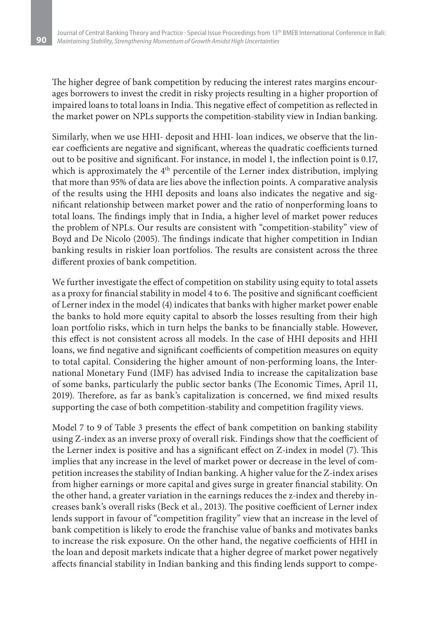The higher degree of bank competition by reducing the interest rates margins encourages borrowers to invest the credit in risky projects resulting in a higher proportion of impaired loans to total loans in India. This negative effect of competition as reflected in the market power on NPLs supports the competition-stability view in Indian banking.

Similarly, when we use HHI- deposit and HHI- loan indices, we observe that the linear coefficients are negative and significant, whereas the quadratic coefficients turned out to be positive and significant. For instance, in model 1, the inflection point is 0.17, which is approximately the 4<sup>th</sup> percentile of the Lerner index distribution, implying that more than 95% of data are lies above the inflection points. A comparative analysis of the results using the HHI deposits and loans also indicates the negative and significant relationship between market power and the ratio of nonperforming loans to total loans. The findings imply that in India, a higher level of market power reduces the problem of NPLs. Our results are consistent with "competition-stability" view of Boyd and De Nicolo (2005). The findings indicate that higher competition in Indian banking results in riskier loan portfolios. The results are consistent across the three different proxies of bank competition.

We further investigate the effect of competition on stability using equity to total assets as a proxy for financial stability in model 4 to 6. The positive and significant coefficient of Lerner index in the model (4) indicates that banks with higher market power enable the banks to hold more equity capital to absorb the losses resulting from their high loan portfolio risks, which in turn helps the banks to be financially stable. However, this effect is not consistent across all models. In the case of HHI deposits and HHI loans, we find negative and significant coefficients of competition measures on equity to total capital. Considering the higher amount of non-performing loans, the International Monetary Fund (IMF) has advised India to increase the capitalization base of some banks, particularly the public sector banks (The Economic Times, April 11, 2019). Therefore, as far as bank's capitalization is concerned, we find mixed results supporting the case of both competition-stability and competition fragility views.

Model 7 to 9 of Table 3 presents the effect of bank competition on banking stability using Z-index as an inverse proxy of overall risk. Findings show that the coefficient of the Lerner index is positive and has a significant effect on Z-index in model (7). This implies that any increase in the level of market power or decrease in the level of competition increases the stability of Indian banking. A higher value for the Z-index arises from higher earnings or more capital and gives surge in greater financial stability. On the other hand, a greater variation in the earnings reduces the z-index and thereby increases bank's overall risks (Beck et al., 2013). The positive coefficient of Lerner index lends support in favour of "competition fragility" view that an increase in the level of bank competition is likely to erode the franchise value of banks and motivates banks to increase the risk exposure. On the other hand, the negative coefficients of HHI in the loan and deposit markets indicate that a higher degree of market power negatively affects financial stability in Indian banking and this finding lends support to compe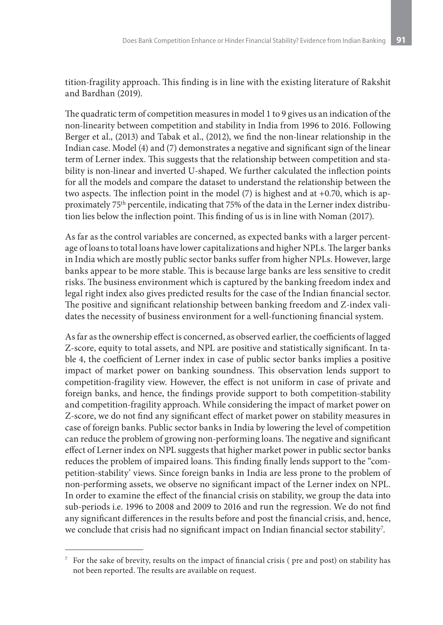tition-fragility approach. This finding is in line with the existing literature of Rakshit and Bardhan (2019).

The quadratic term of competition measures in model 1 to 9 gives us an indication of the non-linearity between competition and stability in India from 1996 to 2016. Following Berger et al., (2013) and Tabak et al., (2012), we find the non-linear relationship in the Indian case. Model (4) and (7) demonstrates a negative and significant sign of the linear term of Lerner index. This suggests that the relationship between competition and stability is non-linear and inverted U-shaped. We further calculated the inflection points for all the models and compare the dataset to understand the relationship between the two aspects. The inflection point in the model  $(7)$  is highest and at  $+0.70$ , which is approximately 75th percentile, indicating that 75% of the data in the Lerner index distribution lies below the inflection point. This finding of us is in line with Noman (2017).

As far as the control variables are concerned, as expected banks with a larger percentage of loans to total loans have lower capitalizations and higher NPLs. The larger banks in India which are mostly public sector banks suffer from higher NPLs. However, large banks appear to be more stable. This is because large banks are less sensitive to credit risks. The business environment which is captured by the banking freedom index and legal right index also gives predicted results for the case of the Indian financial sector. The positive and significant relationship between banking freedom and Z-index validates the necessity of business environment for a well-functioning financial system.

As far as the ownership effect is concerned, as observed earlier, the coefficients of lagged Z-score, equity to total assets, and NPL are positive and statistically significant. In table 4, the coefficient of Lerner index in case of public sector banks implies a positive impact of market power on banking soundness. This observation lends support to competition-fragility view. However, the effect is not uniform in case of private and foreign banks, and hence, the findings provide support to both competition-stability and competition-fragility approach. While considering the impact of market power on Z-score, we do not find any significant effect of market power on stability measures in case of foreign banks. Public sector banks in India by lowering the level of competition can reduce the problem of growing non-performing loans. The negative and significant effect of Lerner index on NPL suggests that higher market power in public sector banks reduces the problem of impaired loans. This finding finally lends support to the "competition-stability' views. Since foreign banks in India are less prone to the problem of non-performing assets, we observe no significant impact of the Lerner index on NPL. In order to examine the effect of the financial crisis on stability, we group the data into sub-periods i.e. 1996 to 2008 and 2009 to 2016 and run the regression. We do not find any significant differences in the results before and post the financial crisis, and, hence, we conclude that crisis had no significant impact on Indian financial sector stability<sup>7</sup>.

<sup>7</sup> For the sake of brevity, results on the impact of financial crisis ( pre and post) on stability has not been reported. The results are available on request.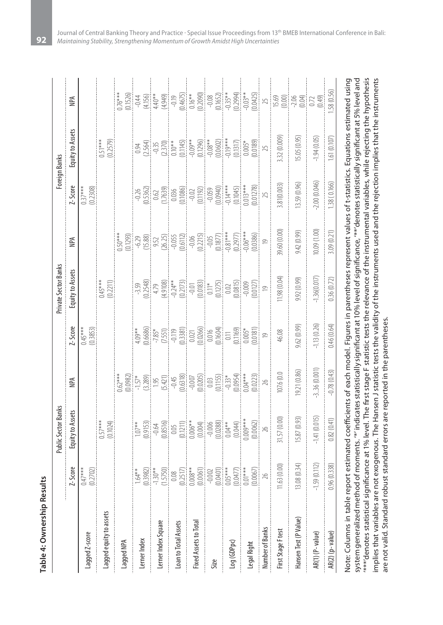| c |
|---|
|   |
|   |
|   |
|   |
| Í |
|   |
|   |
| Í |
|   |

|                         |                                                                                                                                                                                                             | Public Sector Banks                                                                                                                                                                                           |                                                                                                                                                                                                                                                                                                                                                                                                                                                                   |                                                                                                                                                                                                                                                                                                                                                                                                                                                                                              | Private Sector Banks                                                                                                                                                                                                                                                                                                                 |              |                                                                                                                                                                                                                                                                                                                       | Foreign Banks                                                                                                                                                                                                                                                                                                                                   |                                                                                                                                                                                                                                                                                                   |
|-------------------------|-------------------------------------------------------------------------------------------------------------------------------------------------------------------------------------------------------------|---------------------------------------------------------------------------------------------------------------------------------------------------------------------------------------------------------------|-------------------------------------------------------------------------------------------------------------------------------------------------------------------------------------------------------------------------------------------------------------------------------------------------------------------------------------------------------------------------------------------------------------------------------------------------------------------|----------------------------------------------------------------------------------------------------------------------------------------------------------------------------------------------------------------------------------------------------------------------------------------------------------------------------------------------------------------------------------------------------------------------------------------------------------------------------------------------|--------------------------------------------------------------------------------------------------------------------------------------------------------------------------------------------------------------------------------------------------------------------------------------------------------------------------------------|--------------|-----------------------------------------------------------------------------------------------------------------------------------------------------------------------------------------------------------------------------------------------------------------------------------------------------------------------|-------------------------------------------------------------------------------------------------------------------------------------------------------------------------------------------------------------------------------------------------------------------------------------------------------------------------------------------------|---------------------------------------------------------------------------------------------------------------------------------------------------------------------------------------------------------------------------------------------------------------------------------------------------|
|                         | Z-Score                                                                                                                                                                                                     | Equity to Assets                                                                                                                                                                                              | NPA                                                                                                                                                                                                                                                                                                                                                                                                                                                               | Z-Score                                                                                                                                                                                                                                                                                                                                                                                                                                                                                      | Equity to Assets                                                                                                                                                                                                                                                                                                                     | NPA          | Z-Score                                                                                                                                                                                                                                                                                                               | Equity to Assets                                                                                                                                                                                                                                                                                                                                | NPA                                                                                                                                                                                                                                                                                               |
| Lagged Z-score          | (0.2702)<br>$0.47***$                                                                                                                                                                                       |                                                                                                                                                                                                               |                                                                                                                                                                                                                                                                                                                                                                                                                                                                   | (0.3853)<br>$0.45***$                                                                                                                                                                                                                                                                                                                                                                                                                                                                        |                                                                                                                                                                                                                                                                                                                                      |              | $0.37***$<br>(0.2308)                                                                                                                                                                                                                                                                                                 |                                                                                                                                                                                                                                                                                                                                                 |                                                                                                                                                                                                                                                                                                   |
| Lagged equity to assets |                                                                                                                                                                                                             | $0.57***$<br>(0.1024)                                                                                                                                                                                         |                                                                                                                                                                                                                                                                                                                                                                                                                                                                   |                                                                                                                                                                                                                                                                                                                                                                                                                                                                                              | $0.45***$<br>(0.2211)                                                                                                                                                                                                                                                                                                                |              |                                                                                                                                                                                                                                                                                                                       | $0.51***$<br>(0.2579)                                                                                                                                                                                                                                                                                                                           |                                                                                                                                                                                                                                                                                                   |
| Lagged NPA              |                                                                                                                                                                                                             |                                                                                                                                                                                                               |                                                                                                                                                                                                                                                                                                                                                                                                                                                                   |                                                                                                                                                                                                                                                                                                                                                                                                                                                                                              |                                                                                                                                                                                                                                                                                                                                      |              |                                                                                                                                                                                                                                                                                                                       |                                                                                                                                                                                                                                                                                                                                                 |                                                                                                                                                                                                                                                                                                   |
| Lerner Index            | $1.64**$                                                                                                                                                                                                    |                                                                                                                                                                                                               |                                                                                                                                                                                                                                                                                                                                                                                                                                                                   |                                                                                                                                                                                                                                                                                                                                                                                                                                                                                              |                                                                                                                                                                                                                                                                                                                                      |              |                                                                                                                                                                                                                                                                                                                       |                                                                                                                                                                                                                                                                                                                                                 |                                                                                                                                                                                                                                                                                                   |
| Lerner Index Square     |                                                                                                                                                                                                             |                                                                                                                                                                                                               |                                                                                                                                                                                                                                                                                                                                                                                                                                                                   |                                                                                                                                                                                                                                                                                                                                                                                                                                                                                              |                                                                                                                                                                                                                                                                                                                                      |              |                                                                                                                                                                                                                                                                                                                       |                                                                                                                                                                                                                                                                                                                                                 |                                                                                                                                                                                                                                                                                                   |
| Loan to Total Assets    |                                                                                                                                                                                                             |                                                                                                                                                                                                               |                                                                                                                                                                                                                                                                                                                                                                                                                                                                   |                                                                                                                                                                                                                                                                                                                                                                                                                                                                                              |                                                                                                                                                                                                                                                                                                                                      |              |                                                                                                                                                                                                                                                                                                                       |                                                                                                                                                                                                                                                                                                                                                 |                                                                                                                                                                                                                                                                                                   |
| Fixed Assets to Total   |                                                                                                                                                                                                             |                                                                                                                                                                                                               |                                                                                                                                                                                                                                                                                                                                                                                                                                                                   |                                                                                                                                                                                                                                                                                                                                                                                                                                                                                              |                                                                                                                                                                                                                                                                                                                                      |              |                                                                                                                                                                                                                                                                                                                       |                                                                                                                                                                                                                                                                                                                                                 |                                                                                                                                                                                                                                                                                                   |
| Size                    | $\begin{array}{r} (0.3982)\\ -1.30^{**}\\ (-1.5750)\\ -1.5750\\ (0.018)\\ -0.008\\ (0.0061)\\ -0.002\\ (0.0401)\\ -0.00401\\ (0.0477)\\ -0.00401\\ (0.0477)\\ -0.00401\\ (0.0477)\\ 0.01^{***} \end{array}$ | $\begin{bmatrix} 107 \\ -109 \\ -9.64 \\ -0.65 \\ -0.05 \\ -0.05 \\ -0.05 \\ -0.05 \\ -0.05 \\ -0.05 \\ -0.05 \\ -0.05 \\ -0.04 \\ -0.044 \\ -0.044 \\ -0.044 \\ -0.044 \\ -0.044 \\ -0.009 \\ \end{bmatrix}$ | $\begin{array}{l} \begin{array}{l} \text{(16)} \text{(17)} \text{(18)} \text{(19)} \text{(19)} \text{(19)} \text{(19)} \text{(19)} \text{(19)} \text{(19)} \text{(19)} \text{(19)} \text{(19)} \text{(19)} \text{(19)} \text{(19)} \text{(19)} \text{(19)} \text{(19)} \text{(19)} \text{(19)} \text{(19)} \text{(19)} \text{(19)} \text{(19)} \text{(19)} \text{(19)} \text{(19)} \text{(19)} \text{(19)} \text{(19)} \text{(19)} \text{(19)} \text{(19)} \text$ |                                                                                                                                                                                                                                                                                                                                                                                                                                                                                              |                                                                                                                                                                                                                                                                                                                                      |              |                                                                                                                                                                                                                                                                                                                       |                                                                                                                                                                                                                                                                                                                                                 |                                                                                                                                                                                                                                                                                                   |
| Log (GDPpc)             |                                                                                                                                                                                                             |                                                                                                                                                                                                               |                                                                                                                                                                                                                                                                                                                                                                                                                                                                   |                                                                                                                                                                                                                                                                                                                                                                                                                                                                                              |                                                                                                                                                                                                                                                                                                                                      |              |                                                                                                                                                                                                                                                                                                                       |                                                                                                                                                                                                                                                                                                                                                 |                                                                                                                                                                                                                                                                                                   |
| Legal Right             | (0.0067)                                                                                                                                                                                                    |                                                                                                                                                                                                               | $(0.0223)$<br>$26$                                                                                                                                                                                                                                                                                                                                                                                                                                                | $\begin{array}{r} \text{(19)} \\ \text{(19)} \\ \text{(19)} \\ \text{(19)} \\ \text{(19)} \\ \text{(19)} \\ \text{(19)} \\ \text{(19)} \\ \text{(19)} \\ \text{(19)} \\ \text{(19)} \\ \text{(19)} \\ \text{(19)} \\ \text{(19)} \\ \text{(19)} \\ \text{(19)} \\ \text{(19)} \\ \text{(19)} \\ \text{(19)} \\ \text{(19)} \\ \text{(19)} \\ \text{(19)} \\ \text{(19)} \\ \text{(19)} \\ \text{(19)} \\ \text{(19)} \\ \text{(19)} \\ \text{(19)} \\ \text{(19)} \\ \text{(19)} \\ \text{($ | $\begin{array}{l} \text{13.59} \\[-3.59] \\[-3.59] \\[-3.59] \\[-3.59] \\[-3.59] \\[-3.59] \\[-3.59] \\[-3.59] \\[-3.59] \\[-3.59] \\[-3.59] \\[-3.59] \\[-3.59] \\[-3.59] \\[-3.59] \\[-3.59] \\[-3.59] \\[-3.59] \\[-3.59] \\[-3.59] \\[-3.59] \\[-3.59] \\[-3.59] \\[-3.59] \\[-3.59] \\[-3.59] \\[-3.59] \\[-3.59] \\[-3.59] \\$ |              | $\begin{bmatrix} 1000 \\ -0.5362 \\ -0.7562 \\ -0.17639 \\ -0.0368 \\ -0.0368 \\ -0.0368 \\ -0.0369 \\ -0.0369 \\ -0.0369 \\ -0.0369 \\ -0.0369 \\ -0.0369 \\ -0.0369 \\ -0.0369 \\ -0.0369 \\ -0.0369 \\ -0.0369 \\ -0.0369 \\ -0.0369 \\ -0.0369 \\ -0.0369 \\ -0.0369 \\ -0.0369 \\ -0.0369 \\ -0.0369 \\ -0.0369$ | $\begin{array}{r} 0.94 \\[-4pt] 0.35 \\[-4pt] -0.35 \\[-4pt] -0.35 \\[-4pt] -0.35 \\[-4pt] -0.35 \\[-4pt] -0.35 \\[-4pt] -0.35 \\[-4pt] -0.35 \\[-4pt] -0.35 \\[-4pt] -0.35 \\[-4pt] -0.35 \\[-4pt] -0.35 \\[-4pt] -0.35 \\[-4pt] -0.35 \\[-4pt] -0.35 \\[-4pt] -0.35 \\[-4pt] -0.35 \\[-4pt] -0.35 \\[-4pt] -0.35 \\[-4pt] -0.35 \\[-4pt] -0.$ | $\begin{array}{l} 0.7874\\ 0.1520\\ -0.140\\ -0.194\\ -0.194\\ -0.194\\ -0.194\\ -0.194\\ -0.194\\ -0.0194\\ -0.000\\ -0.000\\ -0.000\\ -0.000\\ -0.000\\ -0.000\\ -0.000\\ -0.000\\ -0.000\\ -0.000\\ -0.000\\ -0.000\\ -0.000\\ -0.000\\ -0.000\\ -0.000\\ -0.000\\ -0.000\\ -0.000\\ -0.000\\$ |
| Number of Banks         | $26\,$                                                                                                                                                                                                      | $(0.0062)$<br>$26$                                                                                                                                                                                            |                                                                                                                                                                                                                                                                                                                                                                                                                                                                   |                                                                                                                                                                                                                                                                                                                                                                                                                                                                                              |                                                                                                                                                                                                                                                                                                                                      |              |                                                                                                                                                                                                                                                                                                                       |                                                                                                                                                                                                                                                                                                                                                 |                                                                                                                                                                                                                                                                                                   |
| First Stage F test      | 11.63 (0.00)                                                                                                                                                                                                | 31.57 (0.00)                                                                                                                                                                                                  | 107.6 (0.0                                                                                                                                                                                                                                                                                                                                                                                                                                                        | 46.08                                                                                                                                                                                                                                                                                                                                                                                                                                                                                        | 11.98(0.04)                                                                                                                                                                                                                                                                                                                          | 39.60 (0.00) | 3.81(0.003)                                                                                                                                                                                                                                                                                                           | 3.32 (0.009)                                                                                                                                                                                                                                                                                                                                    |                                                                                                                                                                                                                                                                                                   |
| Hansen Test (P Value)   | 13.08(0.34)                                                                                                                                                                                                 | 15.87 (0.93)                                                                                                                                                                                                  | (93.0) 12.9                                                                                                                                                                                                                                                                                                                                                                                                                                                       | 9.62 (0.99)                                                                                                                                                                                                                                                                                                                                                                                                                                                                                  | 9.92 (0.99)                                                                                                                                                                                                                                                                                                                          | 9.42(0.99)   | 13.59 (0.96)                                                                                                                                                                                                                                                                                                          | 15.05 (0.95)                                                                                                                                                                                                                                                                                                                                    |                                                                                                                                                                                                                                                                                                   |
| AR(1) (P-value)         | $-1.59(0.112)$                                                                                                                                                                                              | $-1.41(0.015)$                                                                                                                                                                                                | $-336(0.001)$                                                                                                                                                                                                                                                                                                                                                                                                                                                     | 1.13(0.26)                                                                                                                                                                                                                                                                                                                                                                                                                                                                                   | $-1.36(0.017)$                                                                                                                                                                                                                                                                                                                       | 10.09 (1.00) | 2.00 (0.046)                                                                                                                                                                                                                                                                                                          | $-1.94(0.05)$                                                                                                                                                                                                                                                                                                                                   |                                                                                                                                                                                                                                                                                                   |
| AR(2) (p-value)         | 0.96(0.338)                                                                                                                                                                                                 | 0.82(0.41)                                                                                                                                                                                                    | $-0.78(0.43)$                                                                                                                                                                                                                                                                                                                                                                                                                                                     | 0.46(0.64)                                                                                                                                                                                                                                                                                                                                                                                                                                                                                   | 0.36(0.72)                                                                                                                                                                                                                                                                                                                           | 3.09 (0.21)  | 1.38(0.166)                                                                                                                                                                                                                                                                                                           | 1.61(0.107)                                                                                                                                                                                                                                                                                                                                     | 1.58(0.56)                                                                                                                                                                                                                                                                                        |

system generalized method of moments. '\*' indicates statistically significant at 10% level of significance, '\*\*'denotes statistically significant at 5% level and '\*\*\*'denotes statistical significance at 1% level. The first stage F statistic tests the relevance of the instrumental variables, while rejecting the hypothesis implies that variables are not exogenous. The Hansen J statistic tests the validity of the instruments used and the rejection implies that the instruments

system generalized method of moments. '\*' indicates statistically significant at 10% level of significance, '\*\*'denotes statistically significant at 5% level and \*\*\*denotes statistical significance at 1% level. The first stage F statistic tests the relevance of the instrumental variables, while rejecting the hypothesis implies that variables are not exogenous. The Hansen J statistic tests the validity of the instruments used and the rejection implies that the instruments

are not valid. Standard robust standard errors are reported in the parentheses.

are not valid. Standard robust standard errors are reported in the parentheses.

Journal of Central Banking Theory and Practice · Special Issue Proceedings from 13th BMEB International Conference in Bali: **92** *Maintaining Stability, Strengthening Momentum of Growth Amidst High Uncertainties*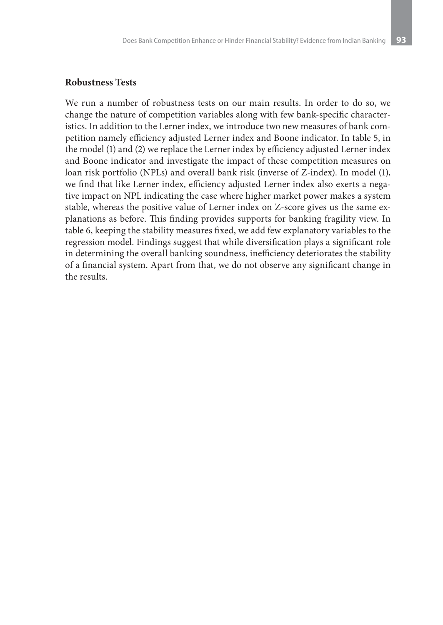#### **Robustness Tests**

We run a number of robustness tests on our main results. In order to do so, we change the nature of competition variables along with few bank-specific characteristics. In addition to the Lerner index, we introduce two new measures of bank competition namely efficiency adjusted Lerner index and Boone indicator. In table 5, in the model (1) and (2) we replace the Lerner index by efficiency adjusted Lerner index and Boone indicator and investigate the impact of these competition measures on loan risk portfolio (NPLs) and overall bank risk (inverse of Z-index). In model (1), we find that like Lerner index, efficiency adjusted Lerner index also exerts a negative impact on NPL indicating the case where higher market power makes a system stable, whereas the positive value of Lerner index on Z-score gives us the same explanations as before. This finding provides supports for banking fragility view. In table 6, keeping the stability measures fixed, we add few explanatory variables to the regression model. Findings suggest that while diversification plays a significant role in determining the overall banking soundness, inefficiency deteriorates the stability of a financial system. Apart from that, we do not observe any significant change in the results.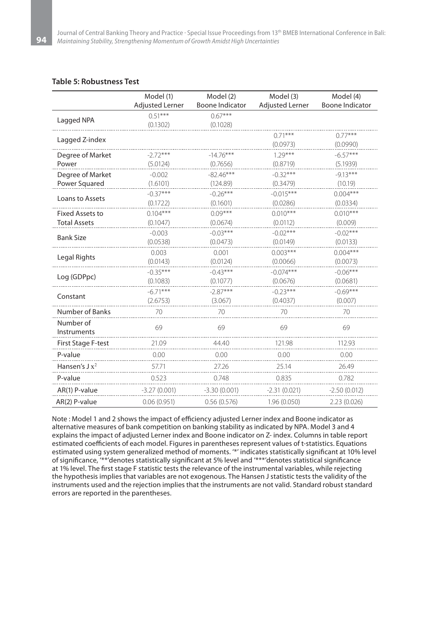#### **Table 5: Robustness Test**

|                           | Model (1)<br><b>Adjusted Lerner</b> | Model (2)<br><b>Boone Indicator</b> | Model (3)<br><b>Adjusted Lerner</b> | Model (4)<br><b>Boone Indicator</b> |
|---------------------------|-------------------------------------|-------------------------------------|-------------------------------------|-------------------------------------|
|                           |                                     |                                     |                                     |                                     |
| Lagged NPA                | $0.51***$                           | $0.67***$                           |                                     |                                     |
|                           | (0.1302)                            | (0.1028)                            |                                     |                                     |
| Lagged Z-index            |                                     |                                     | $0.71***$                           | $0.77***$                           |
|                           |                                     |                                     | (0.0973)                            | (0.0990)                            |
| Degree of Market          | $-2.72***$                          | $-14.76***$                         | $1.29***$                           | $-6.57***$                          |
| Power                     | (5.0124)                            | (0.7656)                            | (0.8719)                            | (5.1939)                            |
| Degree of Market          | $-0.002$                            | $-82.46***$                         | $-0.32***$                          | $-9.13***$                          |
| Power Squared             | (1.6101)                            | (124.89)                            | (0.3479)                            | (10.19)                             |
| Loans to Assets           | $-0.37***$                          | $-0.26***$                          | $-0.015***$                         | $0.004***$                          |
|                           | (0.1722)                            | (0.1601)                            | (0.0286)                            | (0.0334)                            |
| <b>Fixed Assets to</b>    | $0.104***$                          | $0.09***$                           | $0.010***$                          | $0.010***$                          |
| <b>Total Assets</b>       | (0.1047)                            | (0.0674)                            | (0.0112)                            | (0.009)                             |
| <b>Bank Size</b>          | $-0.003$                            | $-0.03***$                          | $-0.02***$                          | $-0.02***$                          |
|                           | (0.0538)                            | (0.0473)                            | (0.0149)                            | (0.0133)                            |
|                           | 0.003                               | 0.001                               | $0.003***$                          | $0.004***$                          |
| Legal Rights              | (0.0143)                            | (0.0124)                            | (0.0066)                            | (0.0073)                            |
|                           | $-0.35***$                          | $-0.43***$                          | $-0.074***$                         | $-0.06***$                          |
| Log (GDPpc)               | (0.1083)                            | (0.1077)                            | (0.0676)                            | (0.0681)                            |
|                           | $-6.71***$                          | $-2.87***$                          | $-0.23***$                          | $-0.69***$                          |
| Constant                  | (2.6753)                            | (3.067)                             | (0.4037)                            | (0.007)                             |
| Number of Banks           | 70                                  | 70                                  | 70                                  | 70                                  |
| Number of<br>Instruments  | 69                                  | 69                                  | 69                                  | 69                                  |
| <b>First Stage F-test</b> | 21.09                               | 44.40                               | 121.98                              | 112.93                              |
| P-value                   | 0.00                                | 0.00                                | 0.00                                | 0.00                                |
| Hansen's $Jx^2$           | 57.71                               | 27.26                               | 25.14                               | 26.49                               |
| P-value                   | 0.523                               | 0.748                               | 0.835                               | 0.782                               |
| AR(1) P-value             | $-3.27(0.001)$                      | $-3.30(0.001)$                      | $-2.31(0.021)$                      | $-2.50(0.012)$                      |
| AR(2) P-value             | 0.06(0.951)                         | 0.56(0.576)                         | 1.96(0.050)                         | 2.23 (0.026)                        |

Note : Model 1 and 2 shows the impact of efficiency adjusted Lerner index and Boone indicator as alternative measures of bank competition on banking stability as indicated by NPA. Model 3 and 4 explains the impact of adjusted Lerner index and Boone indicator on Z- index. Columns in table report estimated coefficients of each model. Figures in parentheses represent values of t-statistics. Equations estimated using system generalized method of moments. '\*' indicates statistically significant at 10% level of significance, '\*\*'denotes statistically significant at 5% level and '\*\*\*'denotes statistical significance at 1% level. The first stage F statistic tests the relevance of the instrumental variables, while rejecting the hypothesis implies that variables are not exogenous. The Hansen J statistic tests the validity of the instruments used and the rejection implies that the instruments are not valid. Standard robust standard errors are reported in the parentheses.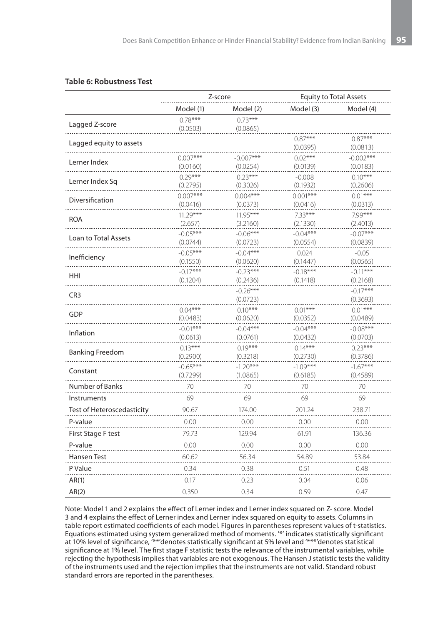#### **Table 6: Robustness Test**

|                            |                        | Z-score                |                        | <b>Equity to Total Assets</b> |
|----------------------------|------------------------|------------------------|------------------------|-------------------------------|
|                            | Model (1)              | Model (2)              | Model (3)              | Model (4)                     |
| Lagged Z-score             | $0.78***$              | $0.73***$              |                        |                               |
|                            | (0.0503)               | (0.0865)               |                        |                               |
| Lagged equity to assets    |                        |                        | $0.87***$<br>(0.0395)  | $0.87***$<br>(0.0813)         |
|                            | $0.007***$             | $-0.007***$            | $0.02***$              | $-0.002***$                   |
| Lerner Index               | (0.0160)               | (0.0254)               | (0.0139)               | (0.0183)                      |
| Lerner Index Sq            | $0.29***$              | $0.23***$              | $-0.008$               | $0.10***$                     |
|                            | (0.2795)               | (0.3026)               | (0.1932)               | (0.2606)                      |
| Diversification            | $0.007***$             | $0.004***$             | $0.001***$             | $0.01***$                     |
|                            | (0.0416)               | (0.0373)               | (0.0416)               | (0.0313)                      |
| <b>ROA</b>                 | $11.29***$             | $11.95***$             | $7.33***$              | 7.99***                       |
|                            | (2.657)                | (3.2160)               | (2.1330)               | (2.4013)                      |
| Loan to Total Assets       | $-0.05***$             | $-0.06***$             | $-0.04***$             | $-0.07***$                    |
|                            | (0.0744)               | (0.0723)               | (0.0554)               | (0.0839)                      |
| Inefficiency               | $-0.05***$             | $-0.04***$             | 0.024                  | $-0.05$                       |
|                            | (0.1550)               | (0.0620)               | (0.1447)               | (0.0565)                      |
| HHI                        | $-0.17***$<br>(0.1204) | $-0.23***$<br>(0.2436) | $-0.18***$<br>(0.1418) | $-0.11***$<br>(0.2168)        |
|                            |                        | $-0.26***$             |                        | $-0.17***$                    |
| CR <sub>3</sub>            |                        | (0.0723)               |                        | (0.3693)                      |
|                            | $0.04***$              | $0.10***$              | $0.01***$              | $0.01***$                     |
| GDP                        | (0.0483)               | (0.0620)               | (0.0352)               | (0.0489)                      |
|                            | $-0.01***$             | $-0.04***$             | $-0.04***$             | $-0.08***$                    |
| Inflation                  | (0.0613)               | (0.0761)               | (0.0432)               | (0.0703)                      |
|                            | $0.13***$              | $0.19***$              | $0.14***$              | $0.23***$                     |
| Banking Freedom            | (0.2900)               | (0.3218)               | (0.2730)               | (0.3786)                      |
|                            | $-0.65***$             | $-1.20***$             | $-1.09***$             | $-1.67***$                    |
| Constant                   | (0.7299)               | (1.0865)               | (0.6185)               | (0.4589)                      |
| Number of Banks            | 70                     | 70                     | 70                     | 70                            |
| Instruments                | 69                     | 69                     | 69                     | 69                            |
| Test of Heteroscedasticity | 90.67                  | 174.00                 | 201.24                 | 238.71                        |
| P-value                    | 0.00                   | 0.00                   | 0.00                   | 0.00                          |
| First Stage F test         | 79.73                  | 129.94                 | 61.91                  | 136.36                        |
| P-value                    | 0.00                   | 0.00                   | 0.00                   | 0.00                          |
| Hansen Test                | 60.62                  | 56.34                  | 54.89                  | 53.84                         |
| P Value                    | 0.34                   | 0.38                   | 0.51                   | 0.48                          |
| AR(1)                      | 0.17                   | 0.23                   | 0.04                   | 0.06                          |
| AR(2)                      | 0.350                  | 0.34                   | 0.59                   | 0.47                          |

Note: Model 1 and 2 explains the effect of Lerner index and Lerner index squared on Z- score. Model 3 and 4 explains the effect of Lerner index and Lerner index squared on equity to assets. Columns in table report estimated coefficients of each model. Figures in parentheses represent values of t-statistics. Equations estimated using system generalized method of moments. '\*' indicates statistically significant at 10% level of significance, '\*\*'denotes statistically significant at 5% level and '\*\*\*'denotes statistical significance at 1% level. The first stage F statistic tests the relevance of the instrumental variables, while rejecting the hypothesis implies that variables are not exogenous. The Hansen J statistic tests the validity of the instruments used and the rejection implies that the instruments are not valid. Standard robust standard errors are reported in the parentheses.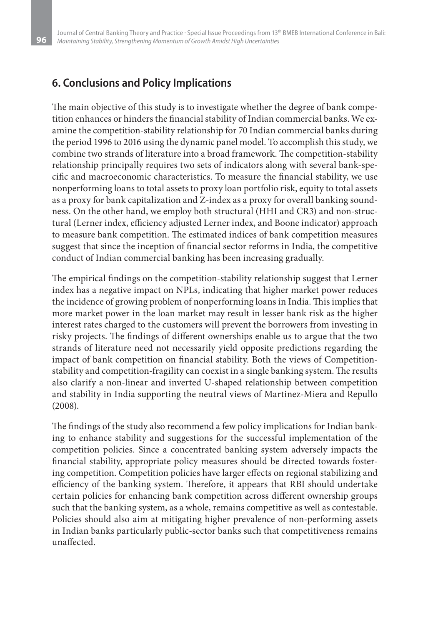## **6. Conclusions and Policy Implications**

The main objective of this study is to investigate whether the degree of bank competition enhances or hinders the financial stability of Indian commercial banks. We examine the competition-stability relationship for 70 Indian commercial banks during the period 1996 to 2016 using the dynamic panel model. To accomplish this study, we combine two strands of literature into a broad framework. The competition-stability relationship principally requires two sets of indicators along with several bank-specific and macroeconomic characteristics. To measure the financial stability, we use nonperforming loans to total assets to proxy loan portfolio risk, equity to total assets as a proxy for bank capitalization and Z-index as a proxy for overall banking soundness. On the other hand, we employ both structural (HHI and CR3) and non-structural (Lerner index, efficiency adjusted Lerner index, and Boone indicator) approach to measure bank competition. The estimated indices of bank competition measures suggest that since the inception of financial sector reforms in India, the competitive conduct of Indian commercial banking has been increasing gradually.

The empirical findings on the competition-stability relationship suggest that Lerner index has a negative impact on NPLs, indicating that higher market power reduces the incidence of growing problem of nonperforming loans in India. This implies that more market power in the loan market may result in lesser bank risk as the higher interest rates charged to the customers will prevent the borrowers from investing in risky projects. The findings of different ownerships enable us to argue that the two strands of literature need not necessarily yield opposite predictions regarding the impact of bank competition on financial stability. Both the views of Competitionstability and competition-fragility can coexist in a single banking system. The results also clarify a non-linear and inverted U-shaped relationship between competition and stability in India supporting the neutral views of Martinez-Miera and Repullo (2008).

The findings of the study also recommend a few policy implications for Indian banking to enhance stability and suggestions for the successful implementation of the competition policies. Since a concentrated banking system adversely impacts the financial stability, appropriate policy measures should be directed towards fostering competition. Competition policies have larger effects on regional stabilizing and efficiency of the banking system. Therefore, it appears that RBI should undertake certain policies for enhancing bank competition across different ownership groups such that the banking system, as a whole, remains competitive as well as contestable. Policies should also aim at mitigating higher prevalence of non-performing assets in Indian banks particularly public-sector banks such that competitiveness remains unaffected.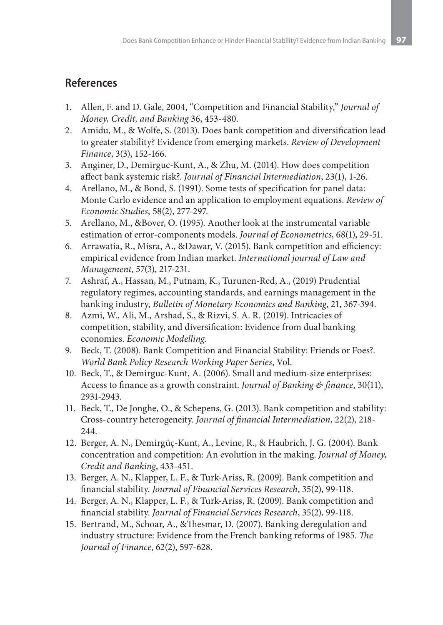# **References**

- 1. Allen, F. and D. Gale, 2004, "Competition and Financial Stability," *Journal of Money, Credit, and Banking* 36, 453-480.
- 2. Amidu, M., & Wolfe, S. (2013). Does bank competition and diversification lead to greater stability? Evidence from emerging markets. *Review of Development Finance*, 3(3), 152-166.
- 3. Anginer, D., Demirguc-Kunt, A., & Zhu, M. (2014). How does competition affect bank systemic risk?. *Journal of Financial Intermediation*, 23(1), 1-26.
- 4. Arellano, M., & Bond, S. (1991). Some tests of specification for panel data: Monte Carlo evidence and an application to employment equations. *Review of Economic Studies*, 58(2), 277-297.
- 5. Arellano, M., &Bover, O. (1995). Another look at the instrumental variable estimation of error-components models. *Journal of Econometrics*, 68(1), 29-51.
- 6. Arrawatia, R., Misra, A., &Dawar, V. (2015). Bank competition and efficiency: empirical evidence from Indian market. *International journal of Law and Management*, 57(3), 217-231.
- 7. Ashraf, A., Hassan, M., Putnam, K., Turunen-Red, A., (2019) Prudential regulatory regimes, accounting standards, and earnings management in the banking industry, *Bulletin of Monetary Economics and Banking*, 21, 367-394.
- 8. Azmi, W., Ali, M., Arshad, S., & Rizvi, S. A. R. (2019). Intricacies of competition, stability, and diversification: Evidence from dual banking economies. *Economic Modelling*.
- 9. Beck, T. (2008). Bank Competition and Financial Stability: Friends or Foes?. *World Bank Policy Research Working Paper Series*, Vol.
- 10. Beck, T., & Demirguc-Kunt, A. (2006). Small and medium-size enterprises: Access to finance as a growth constraint. *Journal of Banking & finance*, 30(11), 2931-2943.
- 11. Beck, T., De Jonghe, O., & Schepens, G. (2013). Bank competition and stability: Cross-country heterogeneity. *Journal of financial Intermediation*, 22(2), 218- 244.
- 12. Berger, A. N., Demirgüç-Kunt, A., Levine, R., & Haubrich, J. G. (2004). Bank concentration and competition: An evolution in the making. *Journal of Money, Credit and Banking*, 433-451.
- 13. Berger, A. N., Klapper, L. F., & Turk-Ariss, R. (2009). Bank competition and financial stability. *Journal of Financial Services Research*, 35(2), 99-118.
- 14. Berger, A. N., Klapper, L. F., & Turk-Ariss, R. (2009). Bank competition and financial stability. *Journal of Financial Services Research*, 35(2), 99-118.
- 15. Bertrand, M., Schoar, A., &Thesmar, D. (2007). Banking deregulation and industry structure: Evidence from the French banking reforms of 1985. *The Journal of Finance*, 62(2), 597-628.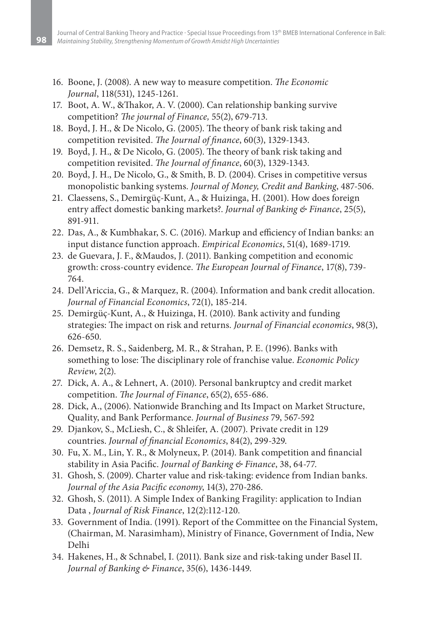- 16. Boone, J. (2008). A new way to measure competition. *The Economic Journal*, 118(531), 1245-1261.
- 17. Boot, A. W., &Thakor, A. V. (2000). Can relationship banking survive competition? *The journal of Finance,* 55(2), 679-713.
- 18. Boyd, J. H., & De Nicolo, G. (2005). The theory of bank risk taking and competition revisited. *The Journal of finance*, 60(3), 1329-1343.
- 19. Boyd, J. H., & De Nicolo, G. (2005). The theory of bank risk taking and competition revisited. *The Journal of finance*, 60(3), 1329-1343.
- 20. Boyd, J. H., De Nicolo, G., & Smith, B. D. (2004). Crises in competitive versus monopolistic banking systems. *Journal of Money, Credit and Banking*, 487-506.
- 21. Claessens, S., Demirgüç-Kunt, A., & Huizinga, H. (2001). How does foreign entry affect domestic banking markets?. *Journal of Banking & Finance*, 25(5), 891-911.
- 22. Das, A., & Kumbhakar, S. C. (2016). Markup and efficiency of Indian banks: an input distance function approach. *Empirical Economics*, 51(4), 1689-1719.
- 23. de Guevara, J. F., &Maudos, J. (2011). Banking competition and economic growth: cross-country evidence. *The European Journal of Finance*, 17(8), 739- 764.
- 24. Dell'Ariccia, G., & Marquez, R. (2004). Information and bank credit allocation. *Journal of Financial Economics*, 72(1), 185-214.
- 25. Demirgüç-Kunt, A., & Huizinga, H. (2010). Bank activity and funding strategies: The impact on risk and returns. *Journal of Financial economics*, 98(3), 626-650.
- 26. Demsetz, R. S., Saidenberg, M. R., & Strahan, P. E. (1996). Banks with something to lose: The disciplinary role of franchise value. *Economic Policy Review*, 2(2).
- 27. Dick, A. A., & Lehnert, A. (2010). Personal bankruptcy and credit market competition. *The Journal of Finance*, 65(2), 655-686.
- 28. Dick, A., (2006). Nationwide Branching and Its Impact on Market Structure, Quality, and Bank Performance. *Journal of Business* 79, 567-592
- 29. Djankov, S., McLiesh, C., & Shleifer, A. (2007). Private credit in 129 countries. *Journal of financial Economics*, 84(2), 299-329.
- 30. Fu, X. M., Lin, Y. R., & Molyneux, P. (2014). Bank competition and financial stability in Asia Pacific. *Journal of Banking & Finance*, 38, 64-77.
- 31. Ghosh, S. (2009). Charter value and risk-taking: evidence from Indian banks. *Journal of the Asia Pacific economy*, 14(3), 270-286.
- 32. Ghosh, S. (2011). A Simple Index of Banking Fragility: application to Indian Data , *Journal of Risk Finance*, 12(2):112-120.
- 33. Government of India. (1991). Report of the Committee on the Financial System, (Chairman, M. Narasimham), Ministry of Finance, Government of India, New Delhi
- 34. Hakenes, H., & Schnabel, I. (2011). Bank size and risk-taking under Basel II. *Journal of Banking & Finance*, 35(6), 1436-1449.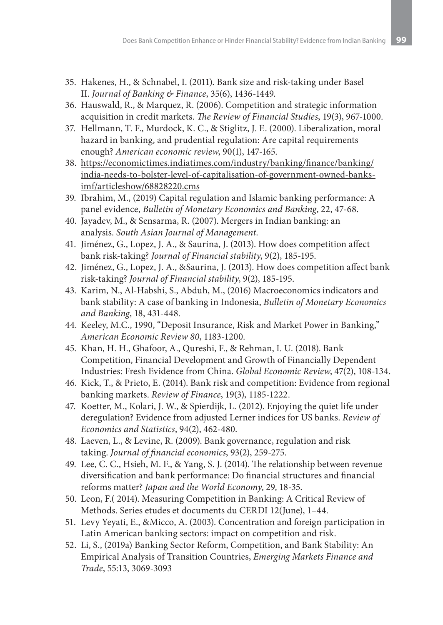- 35. Hakenes, H., & Schnabel, I. (2011). Bank size and risk-taking under Basel II. *Journal of Banking & Finance*, 35(6), 1436-1449.
- 36. Hauswald, R., & Marquez, R. (2006). Competition and strategic information acquisition in credit markets. *The Review of Financial Studies*, 19(3), 967-1000.
- 37. Hellmann, T. F., Murdock, K. C., & Stiglitz, J. E. (2000). Liberalization, moral hazard in banking, and prudential regulation: Are capital requirements enough? *American economic review*, 90(1), 147-165.
- 38. https://economictimes.indiatimes.com/industry/banking/finance/banking/ india-needs-to-bolster-level-of-capitalisation-of-government-owned-banksimf/articleshow/68828220.cms
- 39. Ibrahim, M., (2019) Capital regulation and Islamic banking performance: A panel evidence, *Bulletin of Monetary Economics and Banking*, 22, 47-68.
- 40. Jayadev, M., & Sensarma, R. (2007). Mergers in Indian banking: an analysis. *South Asian Journal of Management*.
- 41. Jiménez, G., Lopez, J. A., & Saurina, J. (2013). How does competition affect bank risk-taking? *Journal of Financial stability*, 9(2), 185-195.
- 42. Jiménez, G., Lopez, J. A., &Saurina, J. (2013). How does competition affect bank risk-taking? *Journal of Financial stability*, 9(2), 185-195.
- 43. Karim, N., Al-Habshi, S., Abduh, M., (2016) Macroeconomics indicators and bank stability: A case of banking in Indonesia, *Bulletin of Monetary Economics and Banking*, 18, 431-448.
- 44. Keeley, M.C., 1990, "Deposit Insurance, Risk and Market Power in Banking," *American Economic Review 80*, 1183-1200.
- 45. Khan, H. H., Ghafoor, A., Qureshi, F., & Rehman, I. U. (2018). Bank Competition, Financial Development and Growth of Financially Dependent Industries: Fresh Evidence from China. *Global Economic Review*, 47(2), 108-134.
- 46. Kick, T., & Prieto, E. (2014). Bank risk and competition: Evidence from regional banking markets. *Review of Finance*, 19(3), 1185-1222.
- 47. Koetter, M., Kolari, J. W., & Spierdijk, L. (2012). Enjoying the quiet life under deregulation? Evidence from adjusted Lerner indices for US banks. *Review of Economics and Statistics*, 94(2), 462-480.
- 48. Laeven, L., & Levine, R. (2009). Bank governance, regulation and risk taking. *Journal of financial economics*, 93(2), 259-275.
- 49. Lee, C. C., Hsieh, M. F., & Yang, S. J. (2014). The relationship between revenue diversification and bank performance: Do financial structures and financial reforms matter? *Japan and the World Economy*, 29, 18-35.
- 50. Leon, F.( 2014). Measuring Competition in Banking: A Critical Review of Methods. Series etudes et documents du CERDI 12(June), 1–44.
- 51. Levy Yeyati, E., &Micco, A. (2003). Concentration and foreign participation in Latin American banking sectors: impact on competition and risk.
- 52. Li, S., (2019a) Banking Sector Reform, Competition, and Bank Stability: An Empirical Analysis of Transition Countries, *Emerging Markets Finance and Trade*, 55:13, 3069-3093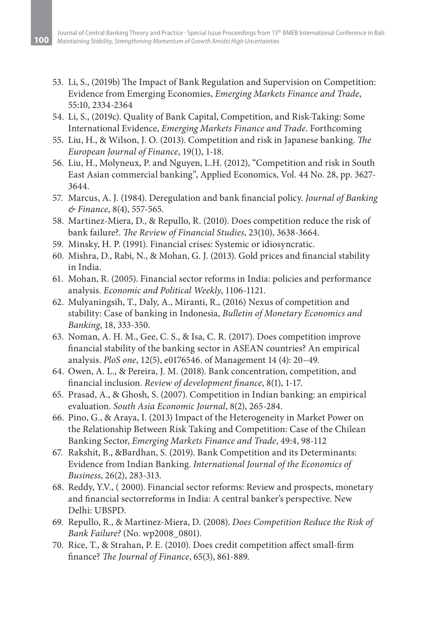- 53. Li, S., (2019b) The Impact of Bank Regulation and Supervision on Competition: Evidence from Emerging Economies, *Emerging Markets Finance and Trade*, 55:10, 2334-2364
- 54. Li, S., (2019c). Quality of Bank Capital, Competition, and Risk-Taking: Some International Evidence, *Emerging Markets Finance and Trade*. Forthcoming
- 55. Liu, H., & Wilson, J. O. (2013). Competition and risk in Japanese banking. *The European Journal of Finance*, 19(1), 1-18.
- 56. Liu, H., Molyneux, P. and Nguyen, L.H. (2012), "Competition and risk in South East Asian commercial banking", Applied Economics, Vol. 44 No. 28, pp. 3627- 3644.
- 57. Marcus, A. J. (1984). Deregulation and bank financial policy. *Journal of Banking & Finance*, 8(4), 557-565.
- 58. Martinez-Miera, D., & Repullo, R. (2010). Does competition reduce the risk of bank failure?. *The Review of Financial Studies*, 23(10), 3638-3664.
- 59. Minsky, H. P. (1991). Financial crises: Systemic or idiosyncratic.
- 60. Mishra, D., Rabi, N., & Mohan, G. J. (2013). Gold prices and financial stability in India.
- 61. Mohan, R. (2005). Financial sector reforms in India: policies and performance analysis. *Economic and Political Weekly*, 1106-1121.
- 62. Mulyaningsih, T., Daly, A., Miranti, R., (2016) Nexus of competition and stability: Case of banking in Indonesia, *Bulletin of Monetary Economics and Banking*, 18, 333-350.
- 63. Noman, A. H. M., Gee, C. S., & Isa, C. R. (2017). Does competition improve financial stability of the banking sector in ASEAN countries? An empirical analysis. *PloS one*, 12(5), e0176546. of Management 14 (4): 20–49.
- 64. Owen, A. L., & Pereira, J. M. (2018). Bank concentration, competition, and financial inclusion. *Review of development finance*, 8(1), 1-17.
- 65. Prasad, A., & Ghosh, S. (2007). Competition in Indian banking: an empirical evaluation. *South Asia Economic Journal*, 8(2), 265-284.
- 66. Pino, G., & Araya, I. (2013) Impact of the Heterogeneity in Market Power on the Relationship Between Risk Taking and Competition: Case of the Chilean Banking Sector, *Emerging Markets Finance and Trade*, 49:4, 98-112
- 67. Rakshit, B., &Bardhan, S. (2019). Bank Competition and its Determinants: Evidence from Indian Banking. *International Journal of the Economics of Business*, 26(2), 283-313.
- 68. Reddy, Y.V., ( 2000). Financial sector reforms: Review and prospects, monetary and financial sectorreforms in India: A central banker's perspective. New Delhi: UBSPD.
- 69. Repullo, R., & Martinez-Miera, D. (2008). *Does Competition Reduce the Risk of Bank Failure?* (No. wp2008\_0801).
- 70. Rice, T., & Strahan, P. E. (2010). Does credit competition affect small‐firm finance? *The Journal of Finance*, 65(3), 861-889.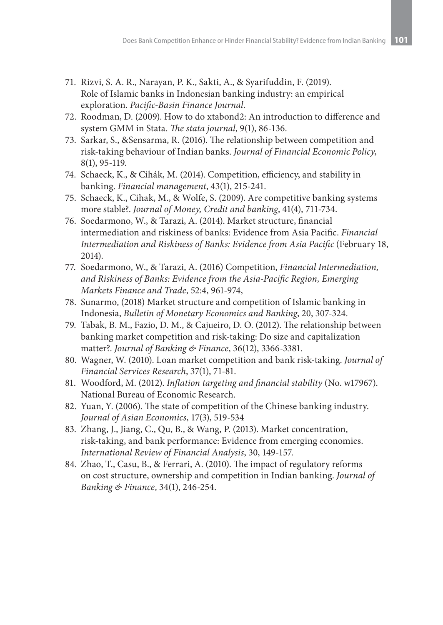- 71. Rizvi, S. A. R., Narayan, P. K., Sakti, A., & Syarifuddin, F. (2019). Role of Islamic banks in Indonesian banking industry: an empirical exploration. *Pacific-Basin Finance Journal*.
- 72. Roodman, D. (2009). How to do xtabond2: An introduction to difference and system GMM in Stata. *The stata journal*, 9(1), 86-136.
- 73. Sarkar, S., &Sensarma, R. (2016). The relationship between competition and risk-taking behaviour of Indian banks. *Journal of Financial Economic Policy*, 8(1), 95-119.
- 74. Schaeck, K., & Cihák, M. (2014). Competition, efficiency, and stability in banking. *Financial management*, 43(1), 215-241.
- 75. Schaeck, K., Cihak, M., & Wolfe, S. (2009). Are competitive banking systems more stable?. *Journal of Money, Credit and banking*, 41(4), 711-734.
- 76. Soedarmono, W., & Tarazi, A. (2014). Market structure, financial intermediation and riskiness of banks: Evidence from Asia Pacific. *Financial Intermediation and Riskiness of Banks: Evidence from Asia Pacific* (February 18, 2014).
- 77. Soedarmono, W., & Tarazi, A. (2016) Competition, *Financial Intermediation, and Riskiness of Banks: Evidence from the Asia-Pacific Region, Emerging Markets Finance and Trade*, 52:4, 961-974,
- 78. Sunarmo, (2018) Market structure and competition of Islamic banking in Indonesia, *Bulletin of Monetary Economics and Banking*, 20, 307-324.
- 79. Tabak, B. M., Fazio, D. M., & Cajueiro, D. O. (2012). The relationship between banking market competition and risk-taking: Do size and capitalization matter?. *Journal of Banking & Finance*, 36(12), 3366-3381.
- 80. Wagner, W. (2010). Loan market competition and bank risk-taking. *Journal of Financial Services Research*, 37(1), 71-81.
- 81. Woodford, M. (2012). *Inflation targeting and financial stability* (No. w17967). National Bureau of Economic Research.
- 82. Yuan, Y. (2006). The state of competition of the Chinese banking industry. *Journal of Asian Economics*, 17(3), 519-534
- 83. Zhang, J., Jiang, C., Qu, B., & Wang, P. (2013). Market concentration, risk-taking, and bank performance: Evidence from emerging economies. *International Review of Financial Analysis*, 30, 149-157.
- 84. Zhao, T., Casu, B., & Ferrari, A. (2010). The impact of regulatory reforms on cost structure, ownership and competition in Indian banking. *Journal of Banking & Finance*, 34(1), 246-254.